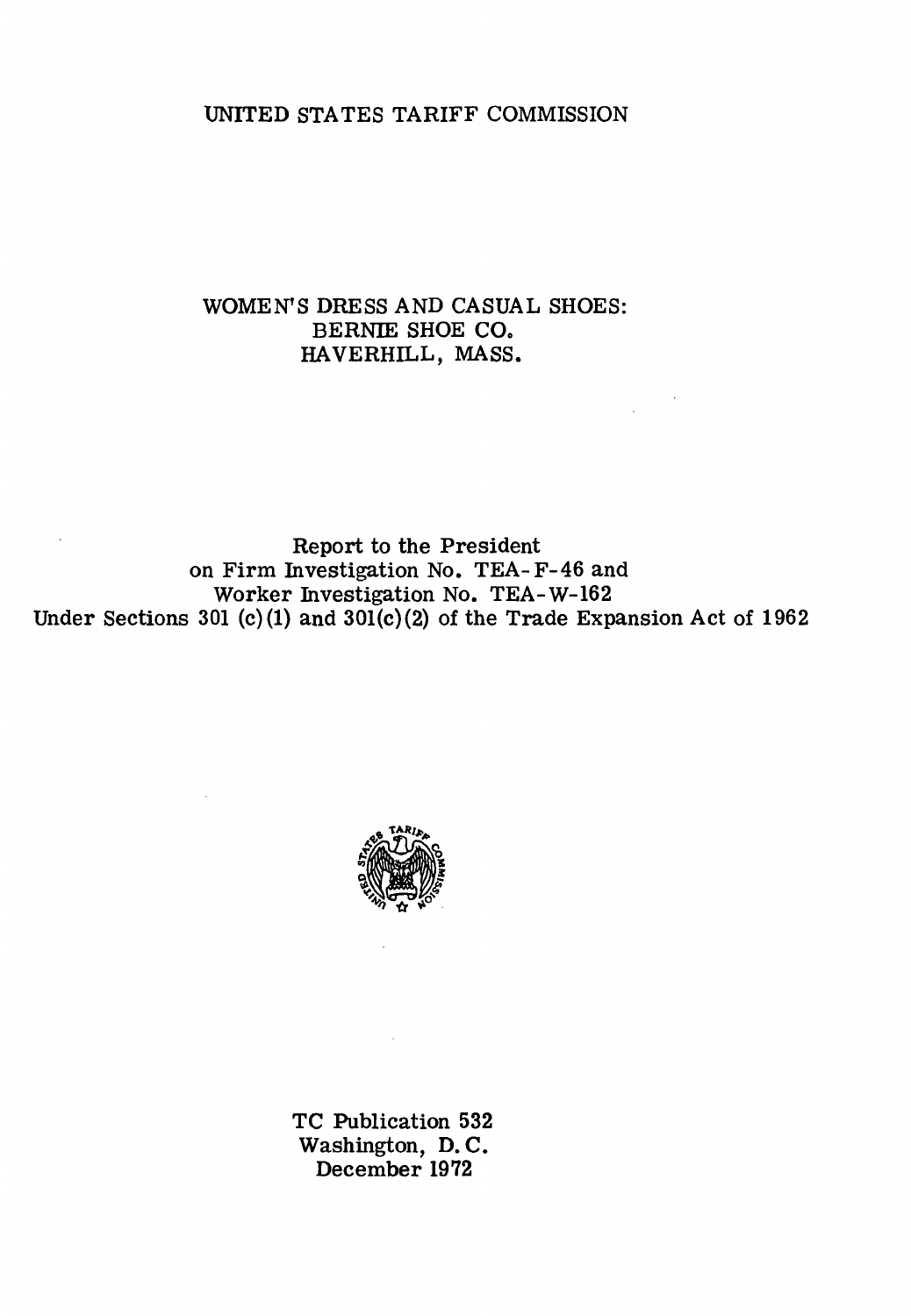UNITED STA TES TARIFF COMMISSION

# WOMEN'S DRESS AND CASUAL SHOES: BERNIE SHOE CO. HAVERHILL, MASS.

Report to the President on Firm Investigation No. TEA-F-46 and Worker Investigation No. TEA-W-162 Under Sections 301 (c)(1) and 301(c)(2) of the Trade Expansion Act of 1962



TC Publication 532 Washington, D. C. December 1972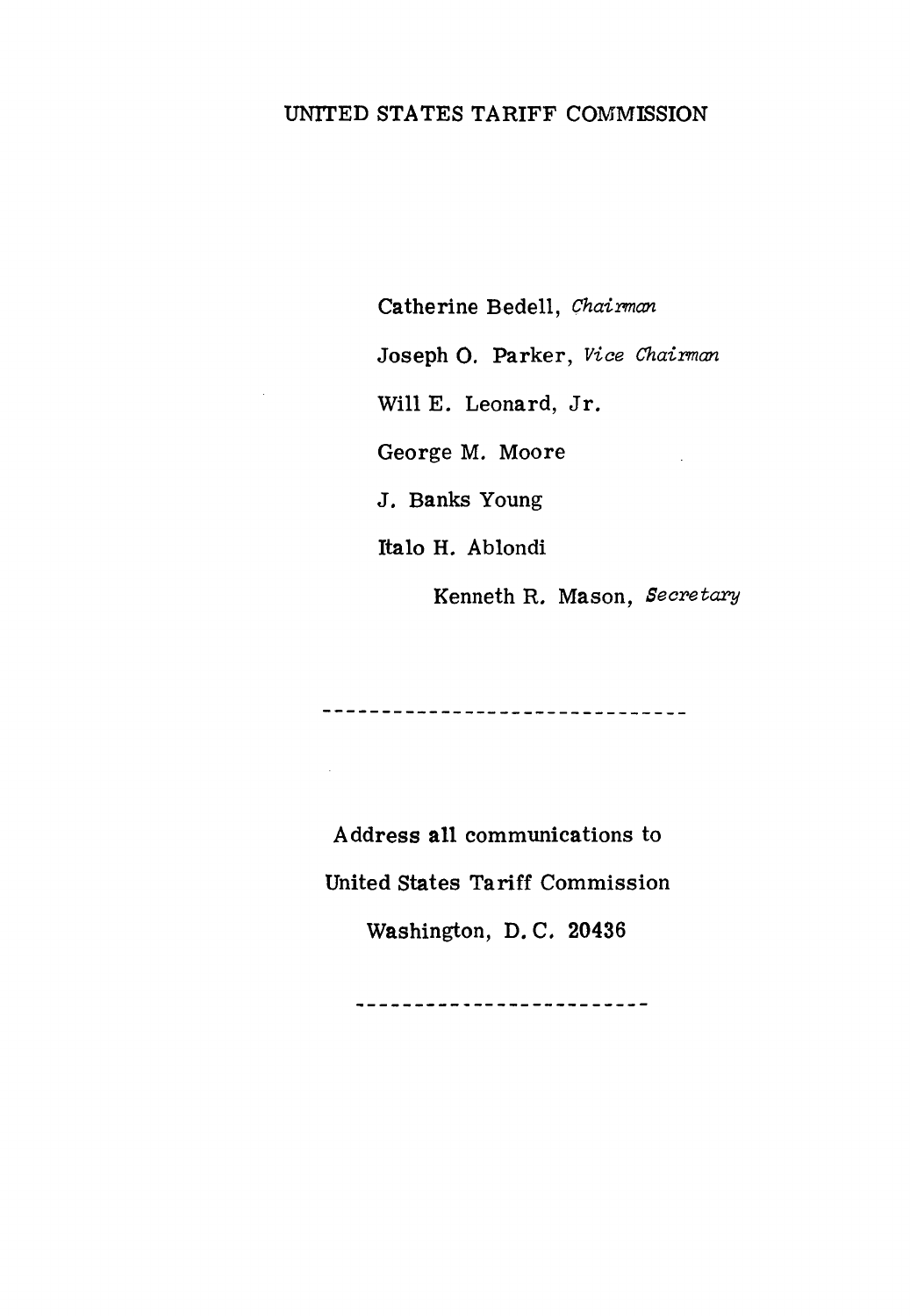# UNITED STATES TARIFF COMMISSION

Catherine Bedell, *Chairman*  Joseph 0. Parker, *Vice Chairman*  Will E. Leonard, Jr. George M. Moore J. Banks Young Italo H. Ablondi

Kenneth R. Mason, *Secretary* 

-------------------------------

 $\mathcal{L}_{\rm eff}$ 

Address all communications to United States Tariff Commission Washington, D. C. 20436

-------------------------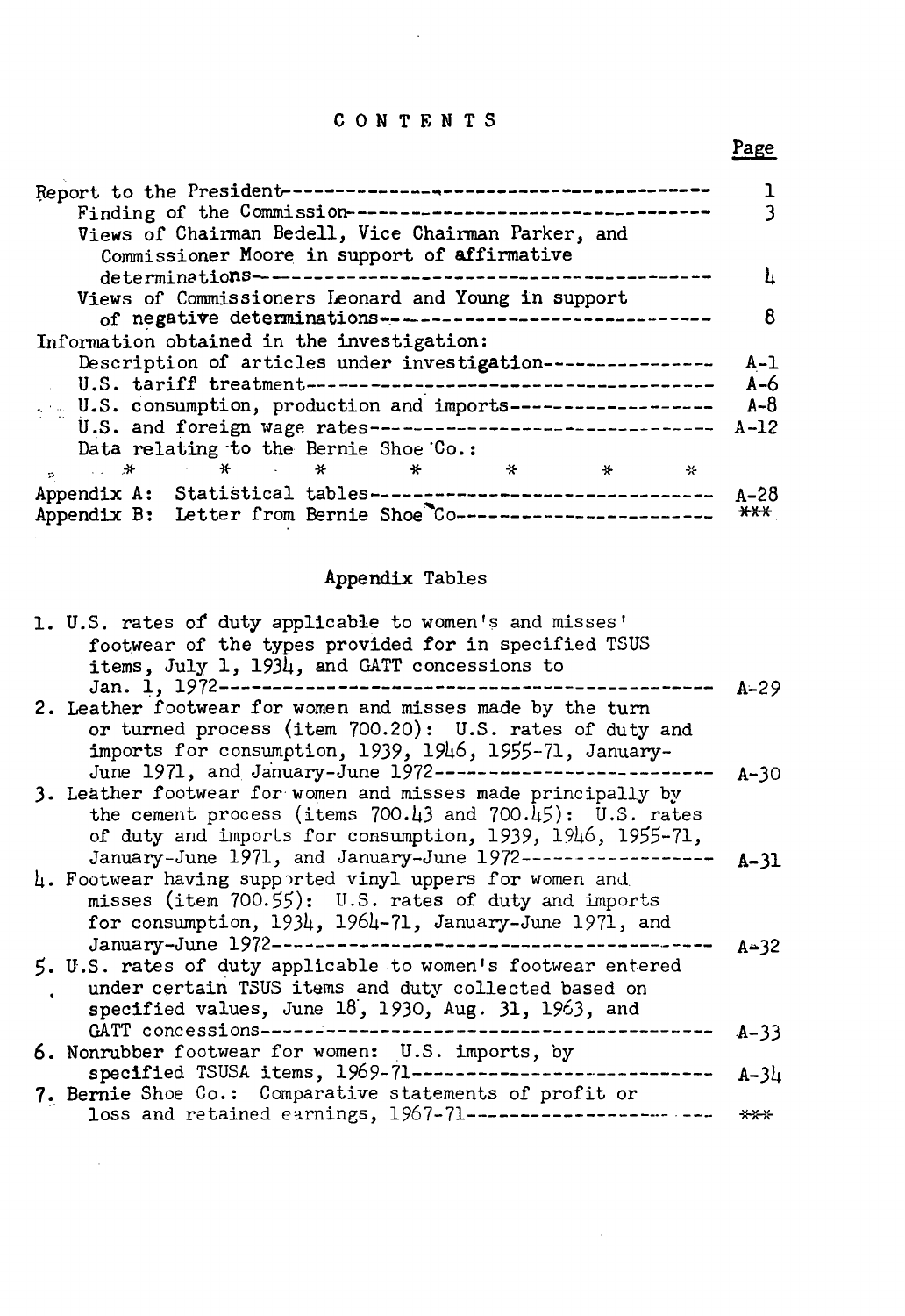## CONTENTS

 $\mathcal{A}$ 

# Page

| Finding of the Commission---------------------------------                                                        |          |
|-------------------------------------------------------------------------------------------------------------------|----------|
| Views of Chairman Bedell, Vice Chairman Parker, and                                                               |          |
| Commissioner Moore in support of affirmative                                                                      |          |
|                                                                                                                   |          |
| Views of Commissioners Leonard and Young in support                                                               |          |
| of negative determinations------------------------------                                                          | 8        |
| Information obtained in the investigation:                                                                        |          |
| Description of articles under investigation----------------                                                       | $A-1$    |
|                                                                                                                   | $A-6$    |
| . U.S. consumption, production and imports-----------------                                                       | $A - B$  |
| U.S. and foreign wage rates-------------------------------                                                        | $A-12$   |
| Data relating to the Bernie Shoe Co.:                                                                             |          |
| $\mathcal{H}$ and $\mathcal{H}$ are the set of $\mathcal{H}$<br>∗<br>∗<br>- - - - - <del>米</del> -<br>∗<br>∗<br>∗ |          |
| Appendix A: Statistical tables--------------------------------                                                    | $A - 28$ |
| Appendix B: Letter from Bernie Shoe Co------------------------                                                    | $***$    |

# Appendix Tables

| 1. U.S. rates of duty applicable to women's and misses'                                             |            |
|-----------------------------------------------------------------------------------------------------|------------|
| footwear of the types provided for in specified TSUS                                                |            |
| items, July 1, 1934, and GATT concessions to                                                        |            |
| Jan. 1, 1972---                                                                                     | $A - 29$   |
| 2. Leather footwear for women and misses made by the turn                                           |            |
| or turned process (item 700.20): U.S. rates of duty and                                             |            |
| imports for consumption, 1939, 1946, 1955-71, January-                                              |            |
| June 1971, and January-June 1972----                                                                | $A - 30$   |
| 3. Leather footwear for women and misses made principally by                                        |            |
| the cement process (items $700.43$ and $700.45$ ): U.S. rates                                       |            |
| of duty and imports for consumption, 1939, 1946, 1955-71,                                           |            |
| January-June 1971, and January-June 1972-------                                                     | $A - 31$   |
| 4. Footwear having supported vinyl uppers for women and                                             |            |
| misses (item 700.55): U.S. rates of duty and imports                                                |            |
| for consumption, 1934, 1964-71, January-June 1971, and                                              |            |
| January-June 1972-----                                                                              | A≞32       |
| 5. U.S. rates of duty applicable to women's footwear entered                                        |            |
| under certain TSUS items and duty collected based on                                                |            |
| specified values, June 18, 1930, Aug. 31, 1963, and                                                 |            |
| GATT concessions -----                                                                              | $A-33$     |
| 6. Nonrubber footwear for women: U.S. imports, by                                                   |            |
| specified TSUSA items, 1969-71-----                                                                 | $A - 3l_1$ |
| 7. Bernie Shoe Co.: Comparative statements of profit or<br>loss and retained earnings, 1967-71----- | $***$      |
|                                                                                                     |            |

 $\mathcal{A}^{\mathcal{A}}$ 

 $\sim$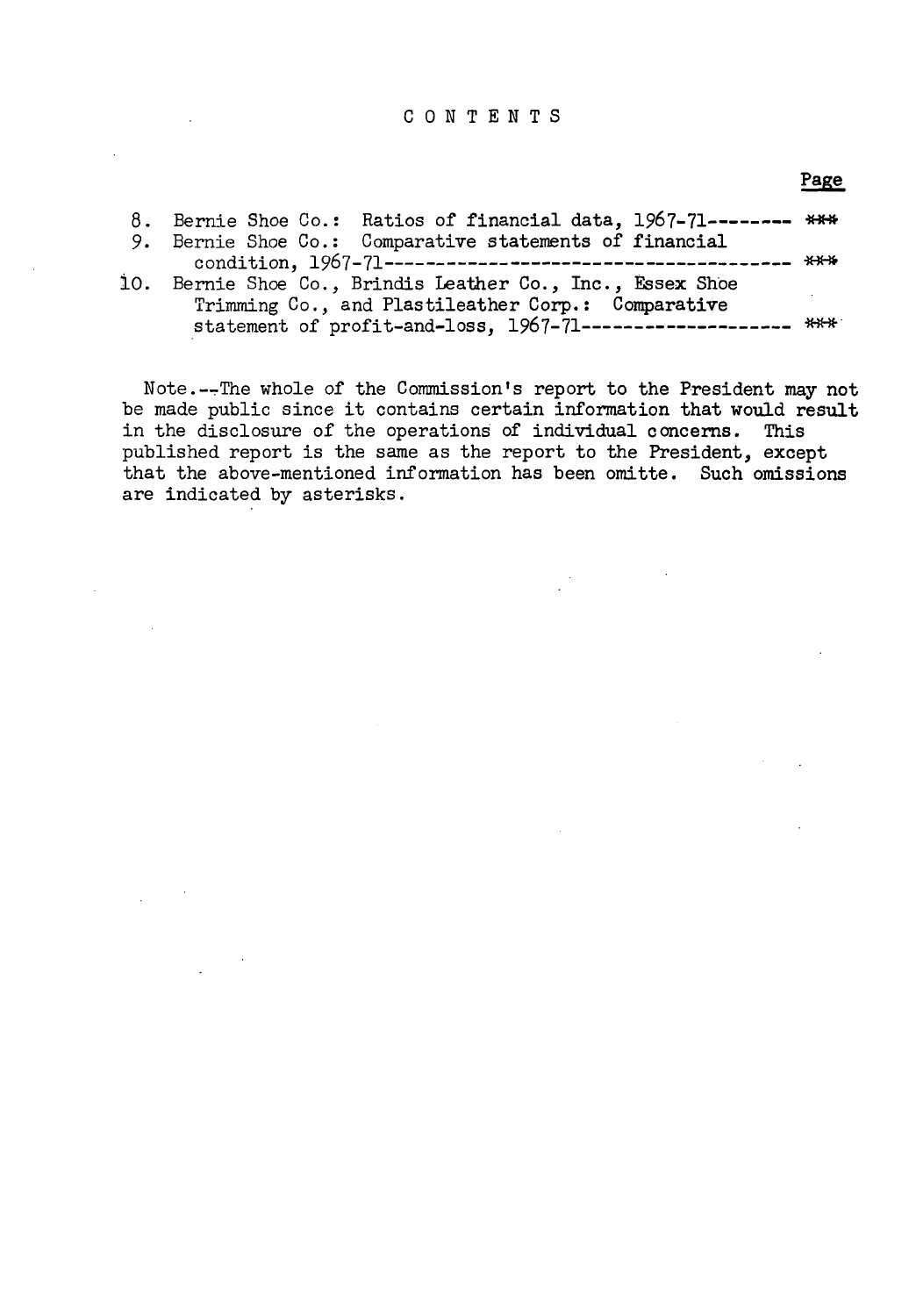## CONTENTS

#### **Page**

| 8. | Bernie Shoe Co.: Ratios of financial data, 1967-71-------- *** |  |
|----|----------------------------------------------------------------|--|
|    | 9. Bernie Shoe Co.: Comparative statements of financial        |  |
|    |                                                                |  |
|    | 10. Bernie Shoe Co., Brindis Leather Co., Inc., Essex Shoe     |  |
|    | Trimming Co., and Plastileather Corp.: Comparative             |  |
|    | statement of profit-and-loss, 1967-71-------------------- ***  |  |

Note.--The whole of the Commission's report to the President may not be made public since it contains certain information that would result in the disclosure of the operations of individual concerns. This published report is the same as the report to the President, except that the above-mentioned information has been omitte. Such omissions are indicated by asterisks.

 $\mathcal{A}^{\mathcal{A}}$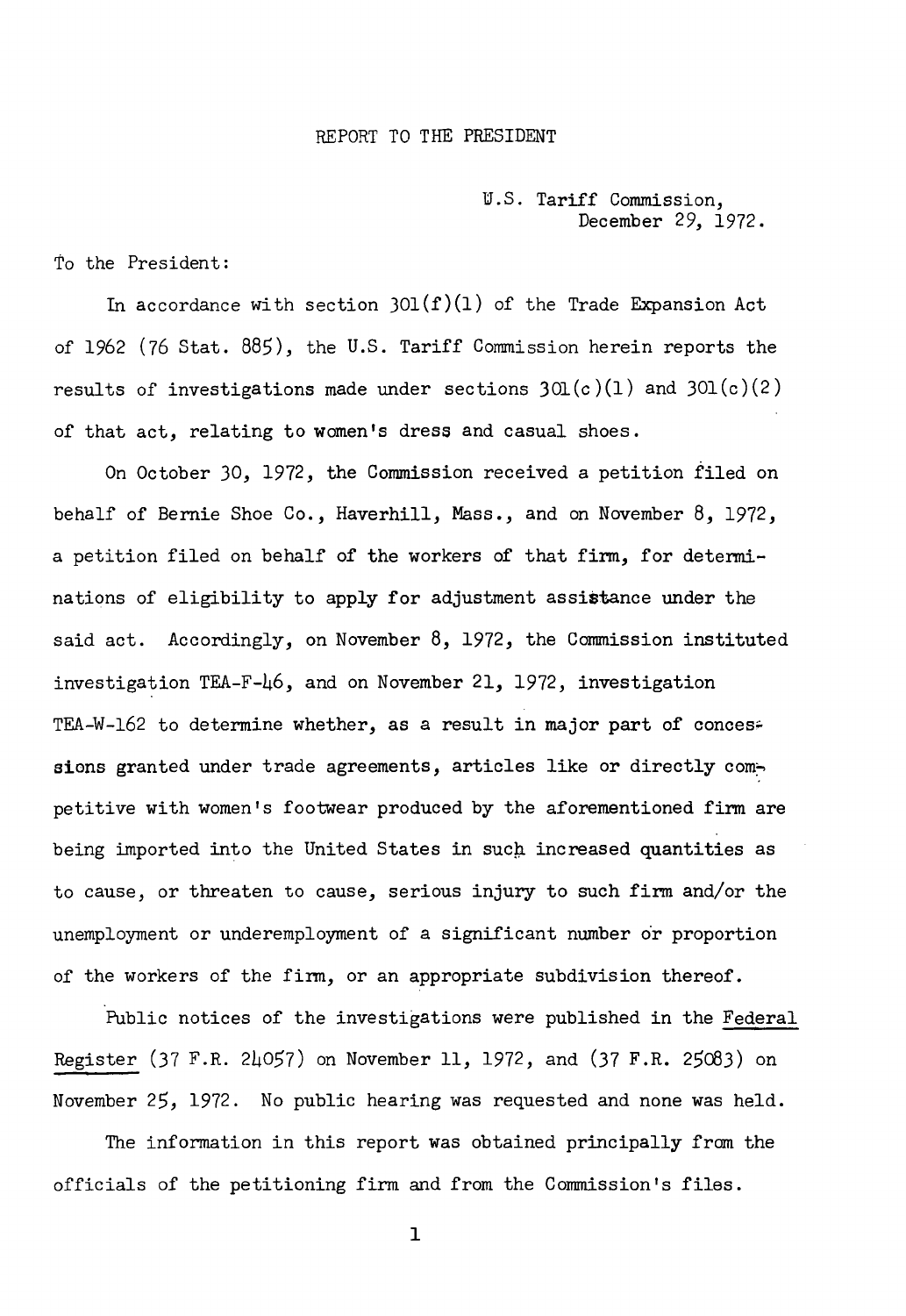#### REPORT TO THE PRESIDENT

U.S. Tariff Commission, December 29, 1972.

To the President:

In accordance with section  $301(f)(1)$  of the Trade Expansion Act of 1962 (76 Stat. 885), the U.S. Tariff Connnission herein reports the results of investigations made under sections  $301(c)(1)$  and  $301(c)(2)$ of that act, relating to women's dress and casual shoes.

On October 30, 1972, the Commission received a petition filed on behalf of Bernie Shoe Co., Haverhill, Mass., and on November 8, 1972, a petition filed on behalf of the workers of that firm, for determinations of eligibility to apply for adjustment assistance under the said act. Accordingly, on November 8, 1972, the Commission instituted investigation TEA-F-46, and on November 21, 1972, investigation TEA-W-162 to determine whether, as a result in major part of conces $\epsilon$ sions granted under trade agreements, articles like or directly competitive with women's footwear produced by the aforementioned firm are being imported into the United States in such increased quantities as to cause, or threaten to cause, serious injury to such firm and/or the unemployment or underemployment of a significant number or proportion of the workers of the firm, or an appropriate subdivision thereof.

Public notices of the investigations were published in the Federal Register (37 F.R. 24057) on November 11, 1972, and (37 F.R. 25083) on November 25, 1972. No public hearing was requested and none was held.

The information in this report was obtained principally from the officials of the petitioning firm and from the Commission's files.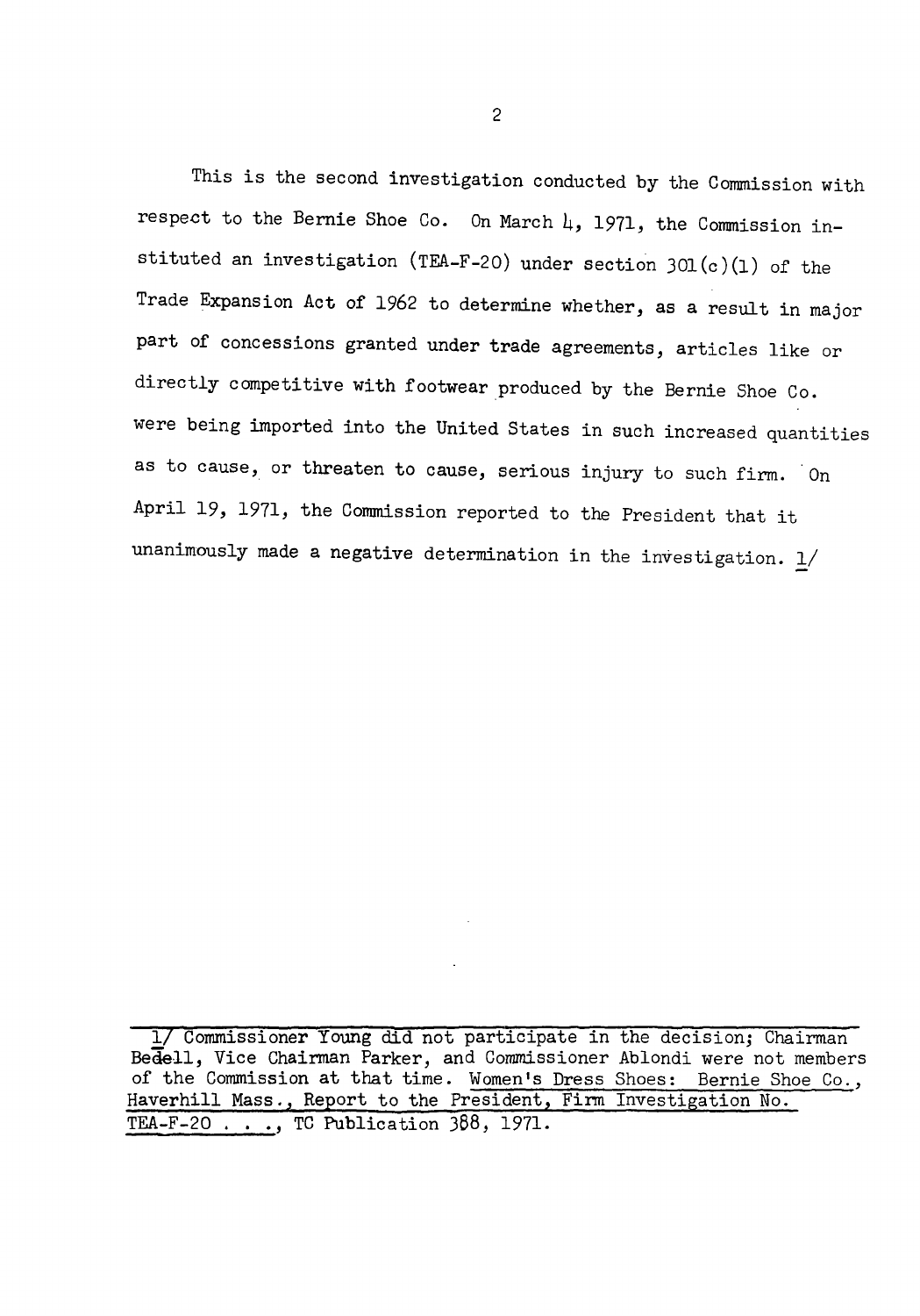This is the second investigation conducted by the Commission with respect to the Bernie Shoe Co. On March  $\mu$ , 1971, the Commission instituted an investigation (TEA-F-20) under section  $301(c)(1)$  of the Trade Expansion Act of 1962 to determine whether, as a result in major part of concessions granted under trade agreements, articles like or directly competitive with footwear produced by the Bernie Shoe Co. were being imported into the United States in such increased quantities as to cause, or threaten to cause, serious injury to such firm. On April 19, 1971, the Commission reported to the President that it unanimously made a negative determination in the investigation.  $1/$ 

<sup>1/</sup> Commissioner Young did not participate in the decision; Chairman Bedell, Vice Chairman Parker, and Commissioner Ablondi were not members of the Commission at that time. Women's Dress Shoes: Bernie Shoe Co., Haverhill Mass., Report to the President, Firm Investigation No. TEA-F-20  $\ldots$ , TC Publication 388, 1971.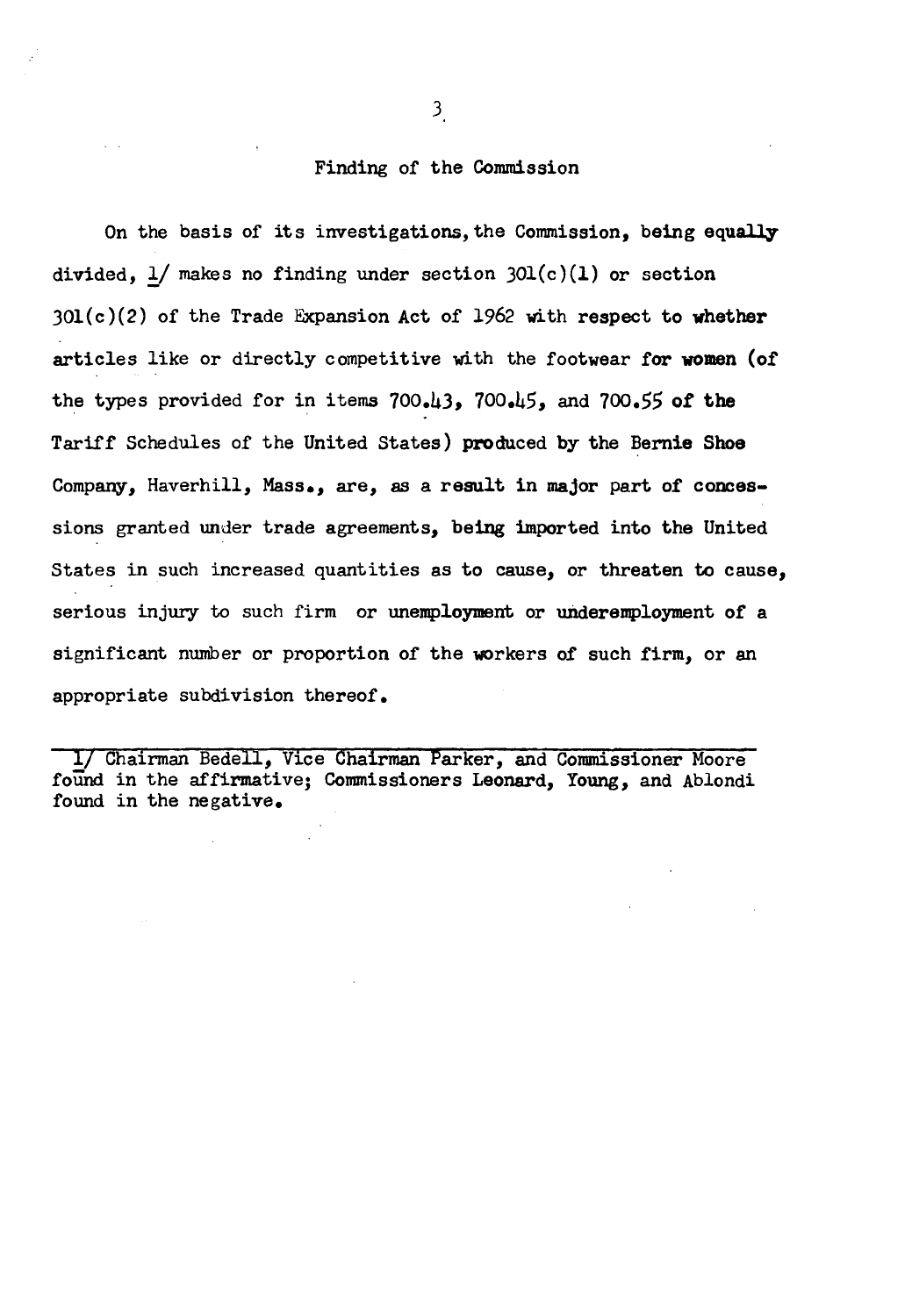#### Finding of the Commission

On the basis of its investigations, the Commission, being equally divided,  $1/$  makes no finding under section  $301(c)(1)$  or section  $301(c)(2)$  of the Trade Expansion Act of 1962 with respect to whether articles like or directly competitive with the footwear for women (of the types provided for in items 700.43, 700.45, and 700.55 of the Tariff Schedules of the United States) produced by the Bernie Shoe Company, Haverhill, Mass., are, as a result in major part of concessions granted wider trade agreements, being imparted into the United States in such increased quantities as to cause, or threaten to cause, serious injury to such firm or unemployment or underemployment of a significant number or propartion of the workers of such firm, or an appropriate subdivision thereof.

1/ Chairman Bedell, Vice Chairman Parker, and Commissioner Moore found in the affirmative; Commissioners Leonard, Young, and Ablondi found in the negative.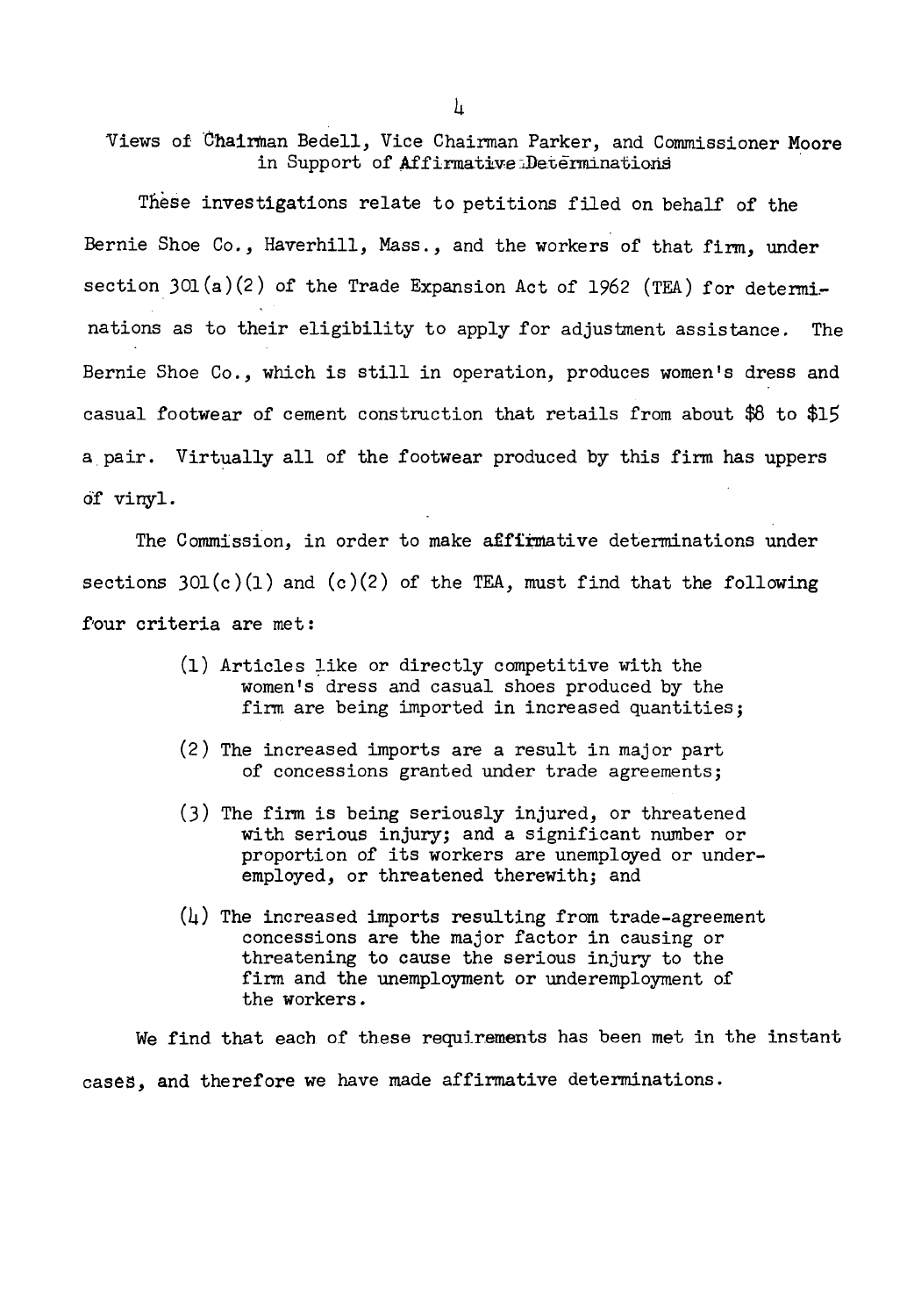Views of Chairman Bedell, Vice Chairman Parker, and Commissioner Moore in Support of Affirmative Determinations

These investigations relate to petitions filed on behalf of the Bernie Shoe Co., Haverhill, Mass., and the workers of that firm, under section  $301(a)(2)$  of the Trade Expansion Act of 1962 (TEA) for determinations as to their eligibility to apply for adjustment assistance. The Bernie Shoe Co., which is still in operation, produces women's dress and casual footwear of cement construction that retails from about \$8 to \$15 a pair. Virtually all of the footwear produced by this firm has uppers of' vinyl.

The Commission, in order to make affirmative determinations under sections  $301(c)(1)$  and  $(c)(2)$  of the TEA, must find that the following four criteria are met:

- $(1)$  Articles like or directly competitive with the women's dress and casual shoes produced by the firm are being imported in increased quantities;
- (2) The increased imports are a result in major part of concessions granted under trade agreements;
- (3) The firm is being seriously injured, or threatened with serious injury; and a significant number or proportion of its workers are unemployed or underemployed, or threatened therewith; and
- (4) The increased imports resulting from trade-agreement concessions are the major factor in causing or threatening to cause the serious injury to the firm and the unemployment or underemployment of the workers.

We find that each of these requirements has been met in the instant cases, and therefore we have made affirmative determinations.

 $\mathbf{h}$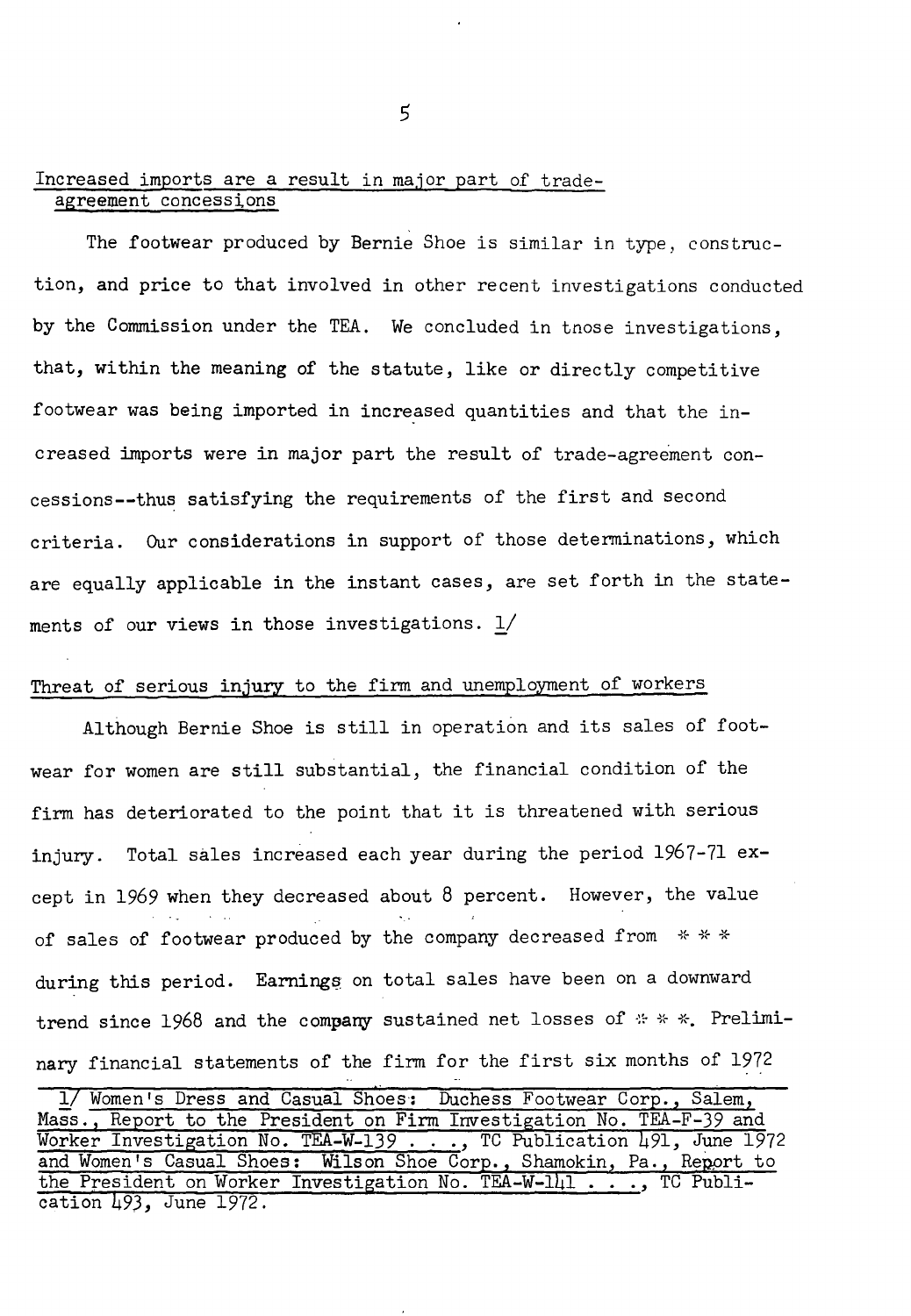## Increased imports are a result in major part of tradeagreement concessions

The footwear produced by Bernie Shoe is similar in type, construetion, and price to that involved in other recent investigations conducted by the Commission under the TEA. We concluded in tnose investigations, that, within the meaning of the statute, like or directly competitive footwear was being imported in increased quantities and that the increased imports were in major part the result of trade-agreement concessions--thus satisfying the requirements of the first and second criteria. Our considerations in support of those determinations, which are equally applicable in the instant cases, are set forth in the statements of our views in those investigations.  $\underline{1}/$ 

#### Threat of serious injury to the firm and unemployment of workers

Although Bernie Shoe is still in operation and its sales of footwear for women are still substantial, the financial condition of the firm has deteriorated to the point that it is threatened with serious injury. Total sales increased each year during the period 1967-71 except in 1969 when they decreased about 8 percent. However, the value of sales of footwear produced by the company decreased from  $* * *$ during this period. Earnings on total sales have been on a downward trend since 1968 and the company sustained net losses of  $:.*.*$ . Preliminary financial statements of the firm for the first six months of 1972 1/ Women's Dress and Casual Shoes: Duchess Footwear Corp., Salem,

s

Mass., Report to the President on Firm Investigation No. TEA-F-39 and Worker Investigation No. TEA-W-139 ..., TC Publication 491, June 1972 and Women's Casual Shoes: Wilson Shoe Corp., Shamokin, Pa., Report to the President on Worker Investigation No. TEA-W-141 . . ., TC Publication 493, June 1972.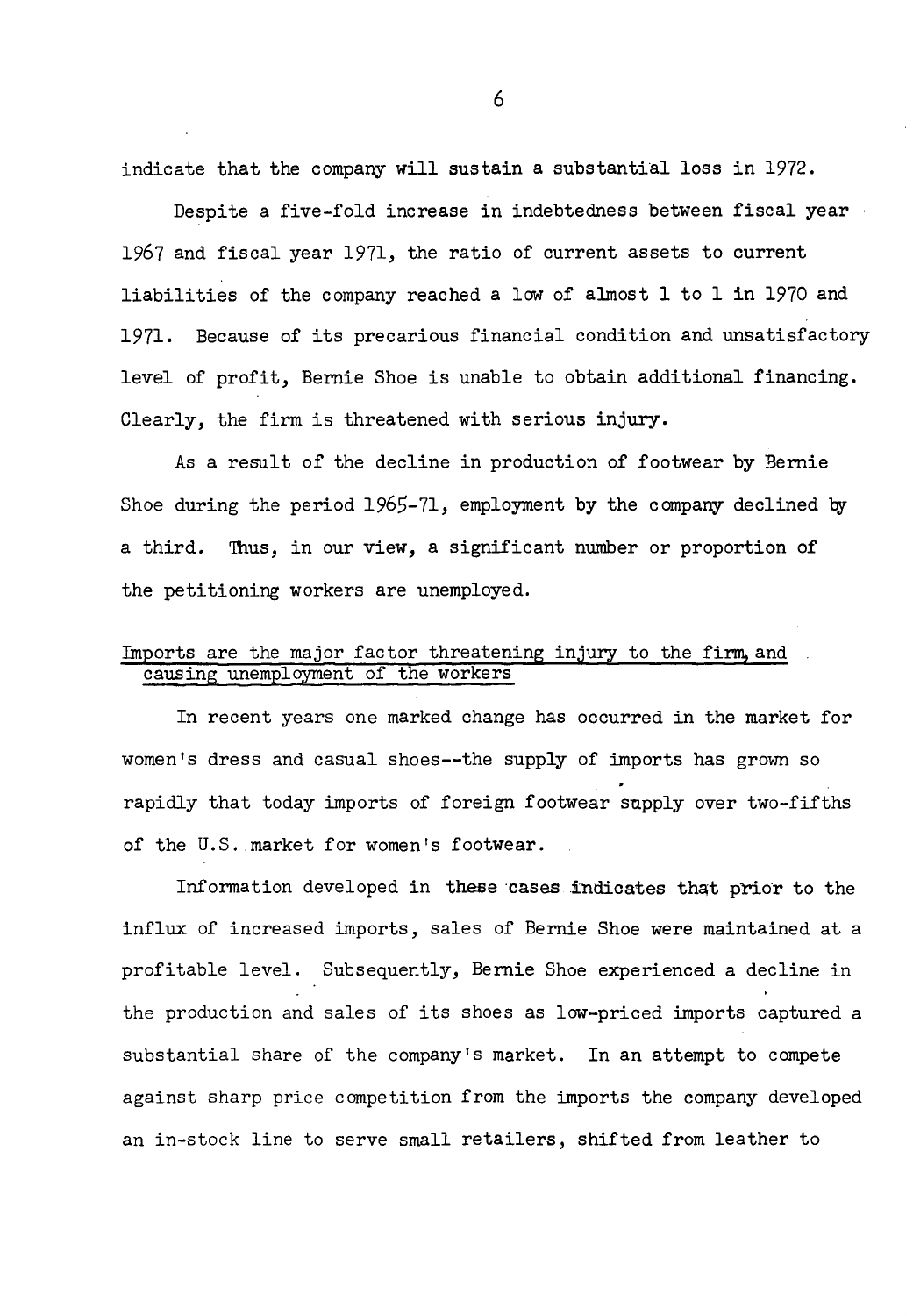indicate that the company will sustain a substantial loss in 1972.

Despite a five-fold increase in indebtedness between fiscal year 1967 and fiscal year 1971, the ratio of current assets to current liabilities of the company reached a low of almost 1 to 1 in 1970 and 1971. Because of its precarious financial condition and unsatisfactory level of profit, Bernie Shoe is unable to obtain additional financing. Clearly, the firm is threatened with serious injury.

As a result of the decline in production of footwear by Bernie Shoe during the period 1965-71, employment by the company declined by a third. Thus, in our view, a significant number or proportion of the petitioning workers are unemployed.

## Imports are the major factor threatening injury to the firm, and causing unemployment of the workers

In recent years one marked change has occurred in the market for women's dress and casual shoes--the supply of imports has grown so rapidly that today imports of foreign footwear snpply over two-fifths of the U.S. market for women's footwear.

Information developed in these cases indicates that prior to the influx of increased imports, sales of Bernie Shoe were maintained at a profitable level. Subsequently, Bernie Shoe experienced a decline in the production and sales of its shoes as low-priced imports captured a substantial share of the company's market. In an attempt to compete against sharp price competition from the imports the company developed an in-stock line to serve small retailers, shifted from leather to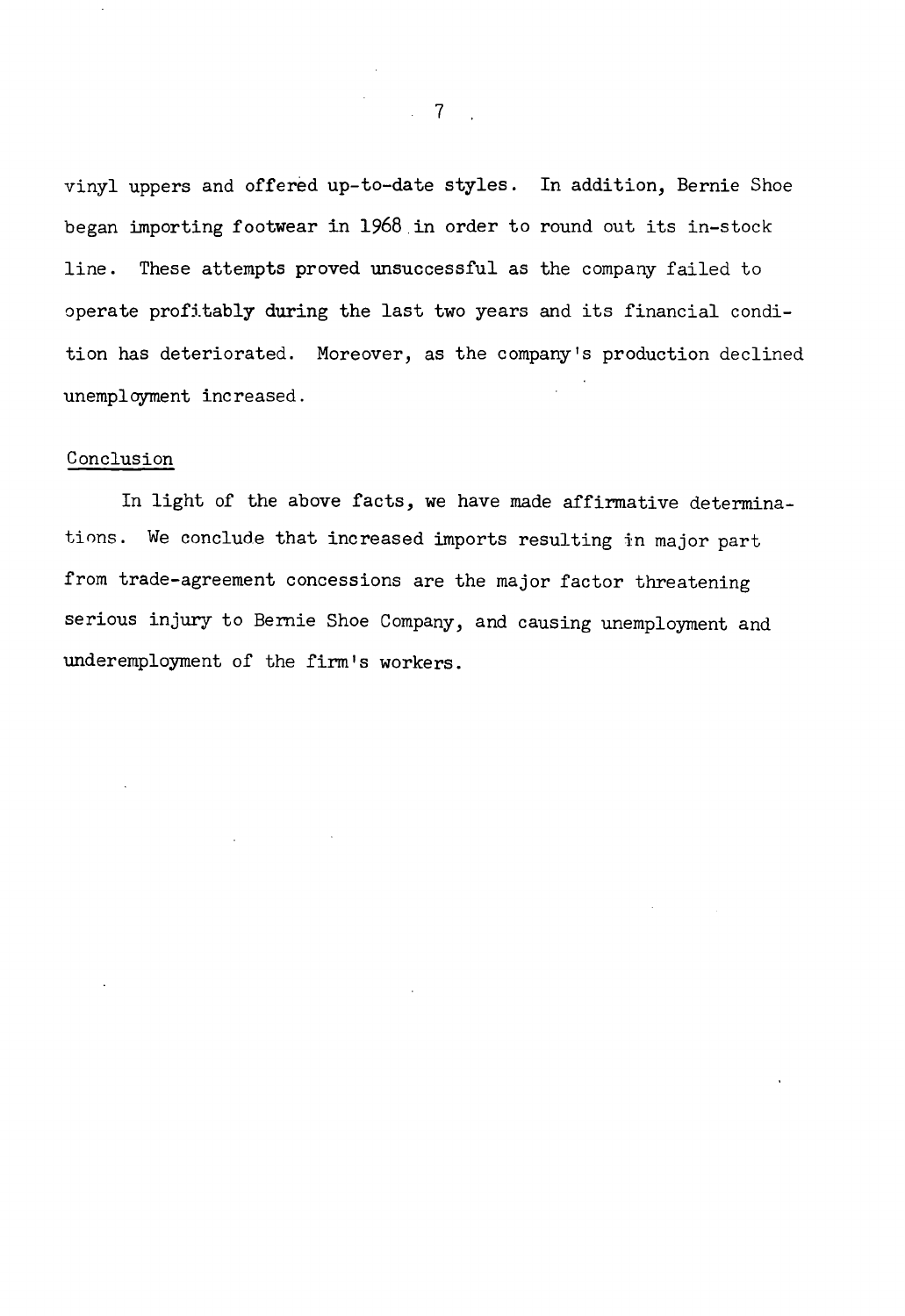vinyl uppers and offered up-to-date styles. In addition, Bernie Shoe began importing footwear in 1968.in order to round out its in-stock line. These attempts proved unsuccessful as the company failed to operate profitably during the last two years and its financial condition has deteriorated. Moreover, as the company's production declined unemployment increased.

#### Conclusion

In light of the above facts, we have made affirmative determinations. We conclude that increased imports resulting in major part from trade-agreement concessions are the major factor threatening serious injury to Bernie Shoe Company, and causing unemployment and underemployment of the firm's workers.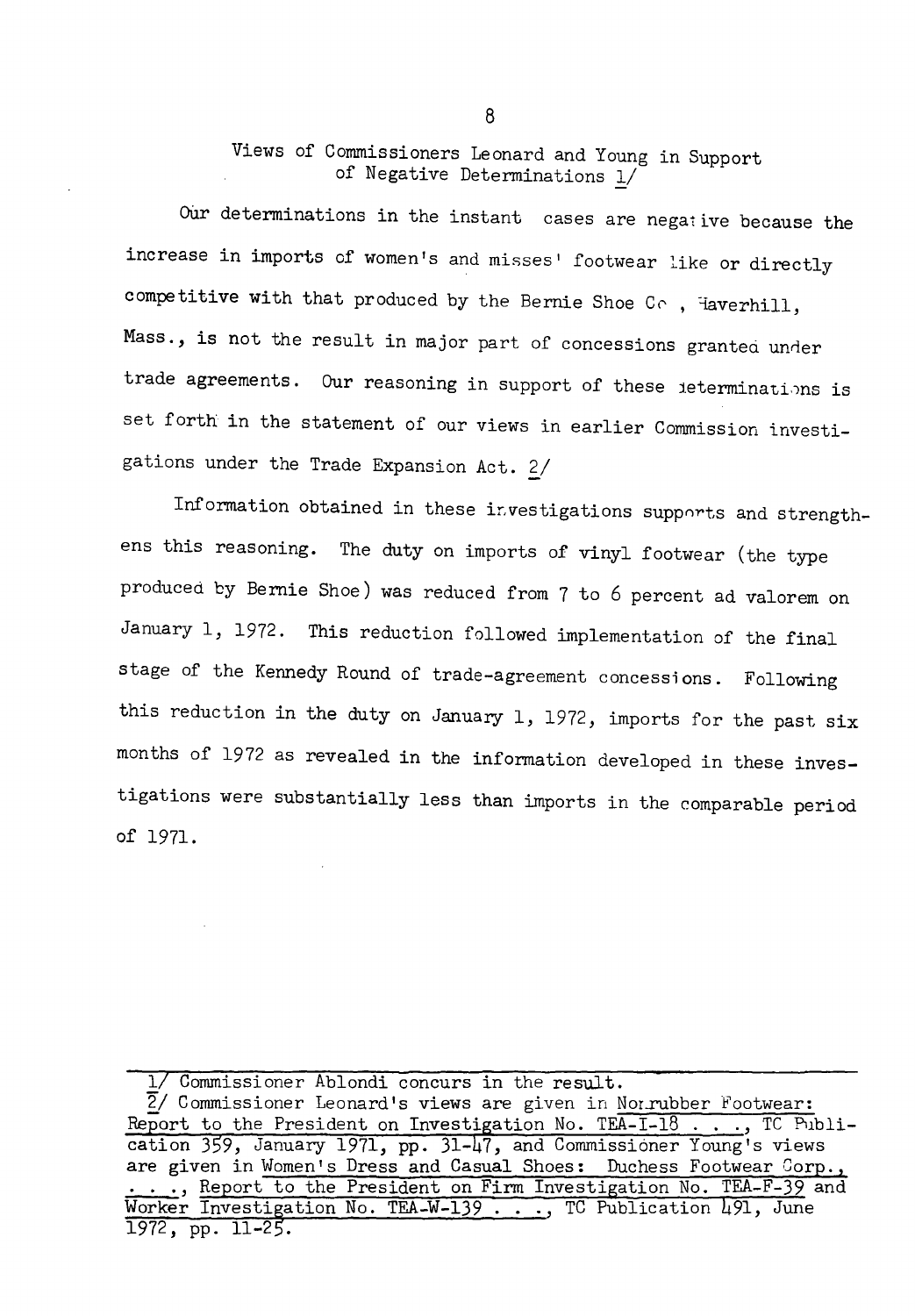# Views of Commissioners Leonard and Young in Support of Negative Determinations *lJ*

Our determinations in the instant cases are negative because the increase in imports of women's and misses' footwear like or directly competitive with that produced by the Bernie Shoe Co , Haverhill, Mass., is not the result in major part of concessions granted under trade agreements. Our reasoning in support of these ieterminations is set forth in the statement of our views in earlier Commission investigations under the Trade Expansion Act.  $2/$ 

Information obtained in these investigations supports and strengthens this reasoning. The duty on imports of vinyl footwear (the type produced by Bernie Shoe) was reduced from 7 to 6 percent ad valorem on January 1, 1972. This reduction followed implementation of the final stage of the Kennedy Round of trade-agreement concessions. Following this reduction in the duty on January 1, 1972, imports for the past  $six$ months of 1972 as revealed in the information developed in these investigations were substantially less than imports in the comparable period of 1971.

1/ Commissioner Ablondi concurs in the result. . 2/ Commissioner Leonard's views are given in Nor.rubber footwear: . Report to the President on Investigation No. TEA-I-18 . . . , TC Publication 359, January 1971, pp. 31-47, and Commissioner Young's views are given in Women's Dress and Casual Shoes: Duchess Footwear Corp., are given in Women's Dress and Casual Shoes: Duchess Footwear Corp.,<br>..., Report to the President on Firm Investigation No. TEA-F-39 and where Investigation No. TEA-W-139 ..., TC Publication 491, June Worker Investigation No. TEA-W-139 . . ., TC Publication 491, June 1972, pp. 11-25.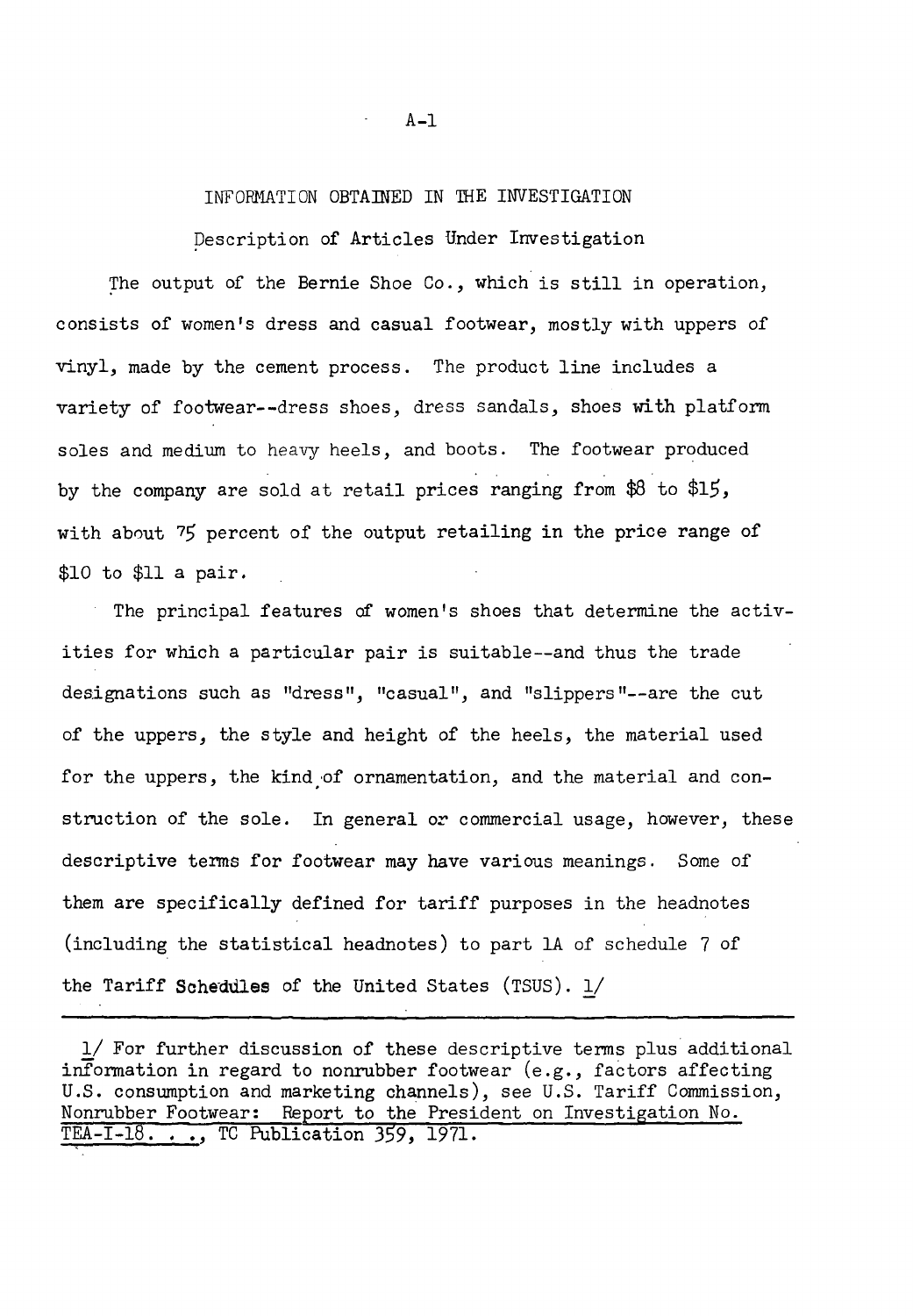#### INFORMATION OBTAINED IN THE INVESTIGATION

pescription of Articles Under Investigation

The output of the Bernie Shoe Co., which is still in operation, consists of women's dress and casual footwear, mostly with uppers of vinyl, made by the cement process. The product line includes a variety of footwear--dress shoes, dress sandals, shoes with platform soles and medium to heavy heels, and boots. The footwear produced by the company are sold at retail prices ranging from \$8 to \$15, with about 75 percent of the output retailing in the price range of \$10 to \$11 a pair.

The principal features of women's shoes that determine the activities for which a particular pair is suitable--and thus the trade designations such as "dress", "casual", and "slippers"--are the cut of the uppers, the style and height of the heels, the material used for the uppers, the kind of ornamentation, and the material and construction of the sole. In general or commercial usage, however, these descriptive terms for footwear may have various meanings. Some of them are specifically defined for tariff purposes in the headnotes (including the statistical headnotes) to part lA of schedule 7 of the Tariff Schedules of the United States (TSUS).  $1/$ 

1/ For further discussion of these descriptive terms plus additional information in regard to nonrubber footwear (e.g., factors affecting U.S. consumption and marketing channels), see U.S. Tariff Commission, Nonrubber Footwear: Report to the President on Investigation No.<br>TEA-I-18. . ., TC Publication 359, 1971.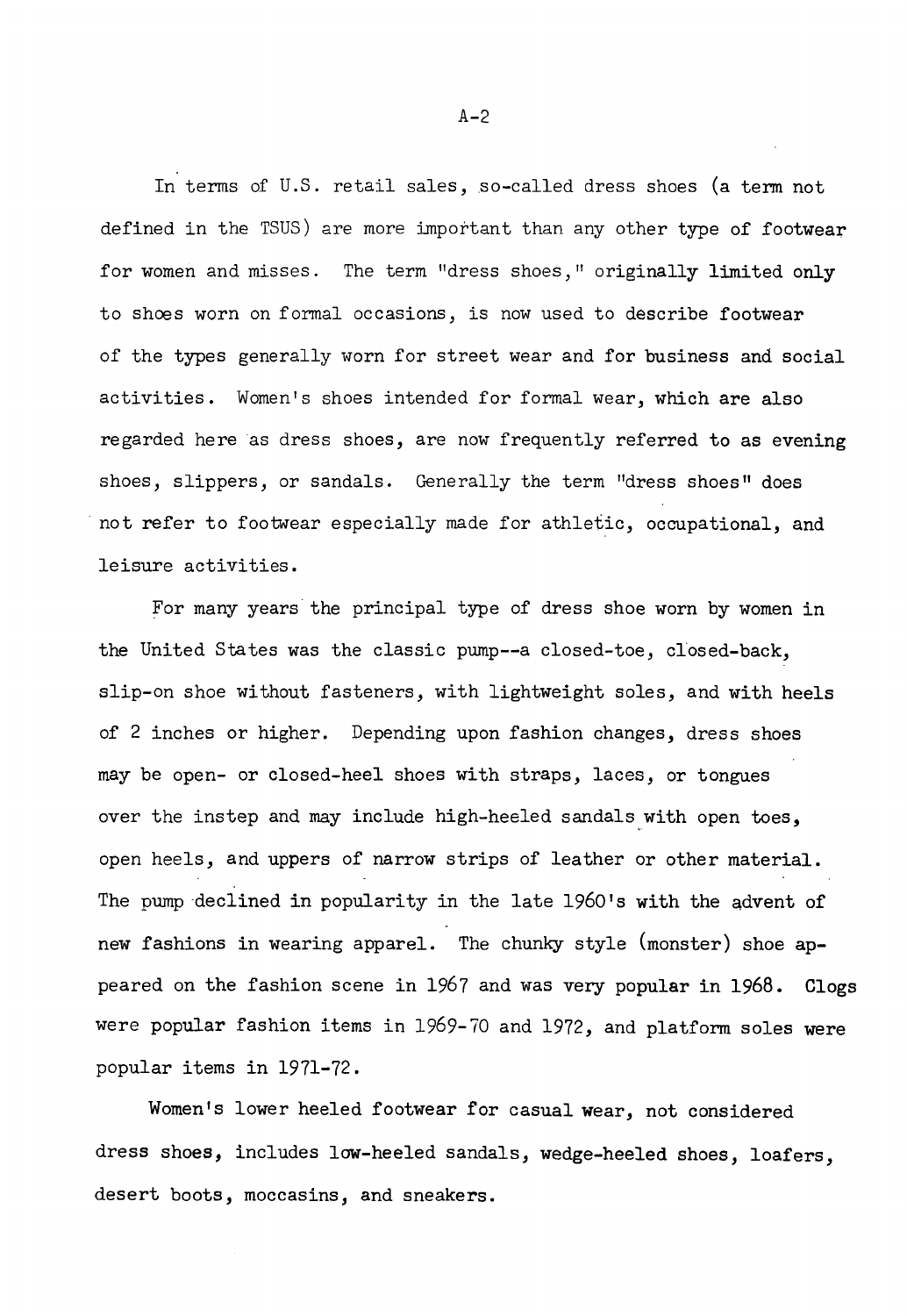In terms of U.S. retail sales, so-called dress shoes (a term not defined in the TSUS) are more important than any other type of footwear for women and misses. The term "dress shoes," originally limited only to shoes worn on formal occasions, is now used to describe footwear of the types generally worn for street wear and for business and social activities. Women's shoes intended for formal wear, which are also regarded here as dress shoes, are now frequently referred to as evening shoes, slippers, or sandals. Generally the term "dress shoes" does not refer to footwear especially made for athletic, occupational, and leisure activities.

For many years the principal type of dress shoe worn by women in the United States was the classic pump--a closed-toe, closed-back, slip-on shoe without fasteners, with lightweight soles, and with heels of 2 inches or higher. Depending upon fashion changes, dress shoes may be open- or closed-heel shoes with straps, laces, or tongues over the instep and may include high-heeled sandals with open toes, open heels, and uppers of narrow strips of leather or other material. The pump declined in popularity in the late 1960's with the advent of new fashions in wearing apparel. The chunky style (monster) shoe appeared on the fashion scene in 1967 and was very popular in 1968. Clogs were popular fashion items in 1969-70 and 1972, and platform soles were popular items in 1971-72.

Women's lower heeled footwear for casual wear, not considered dress shoes, includes low-heeled sandals, wedge-heeled shoes, loafers, desert boots, moccasins, and sneakers.

 $A - 2$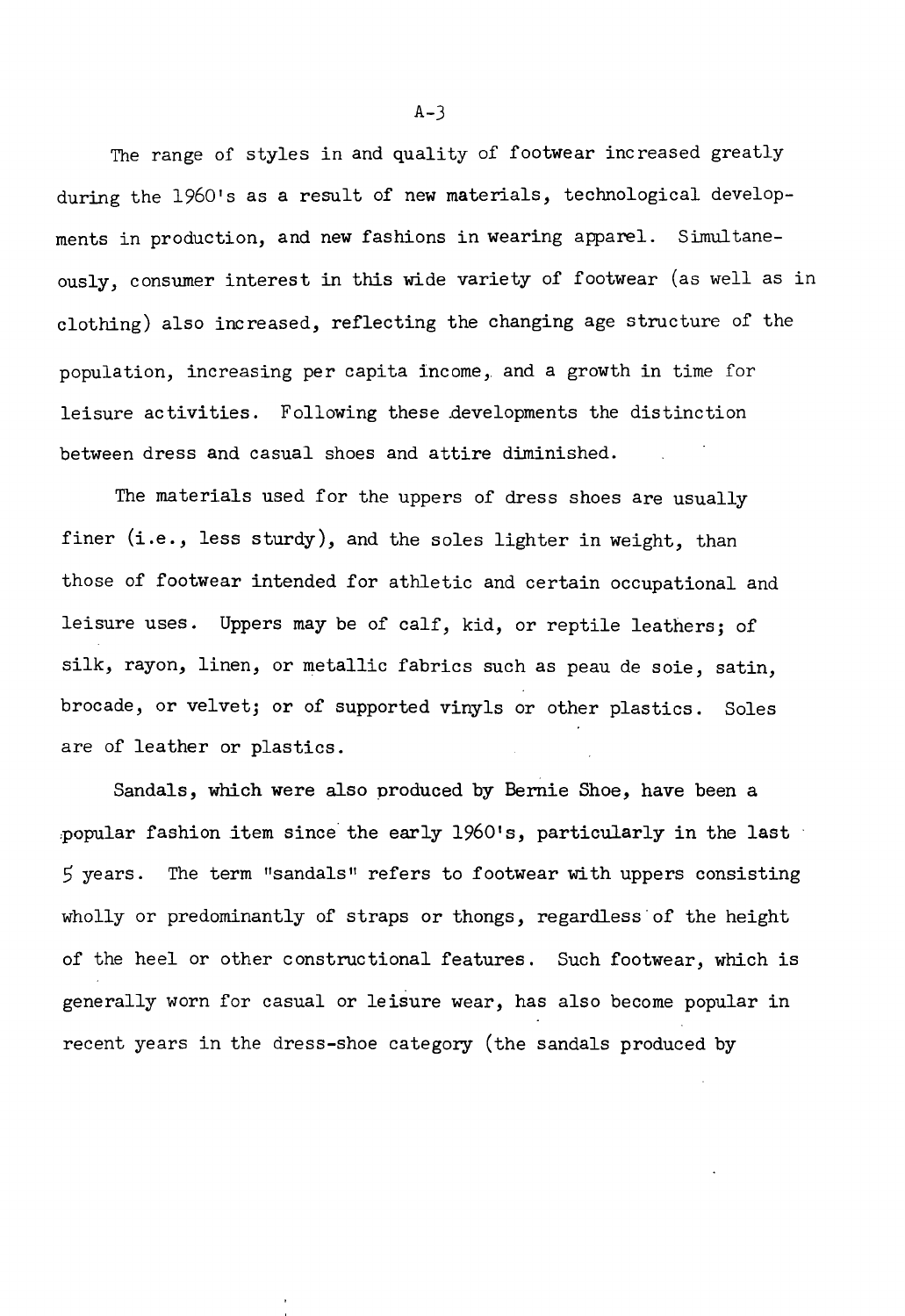The range of styles in and quality of footwear increased greatly during the 1960's as a result of new materials, technological developments in production, and new fashions in wearing apparel. Simultaneously, consumer interest in this wide variety of footwear (as well as in clothing) also increased, reflecting the changing age structure of the population, increasing per capita income, and a growth in time for leisure activities. Following these nevelopments the distinction between dress and casual shoes and attire diminished.

The materials used for the uppers of dress shoes are usually finer (i.e., less sturdy), and the soles lighter in weight, than those of footwear intended for athletic and certain occupational and leisure uses. Uppers may be of calf, kid, or reptile leathers; of silk, rayon, linen, or metallic fabrics such as peau de soie, satin, brocade, or velvet; or of supported vinyls or other plastics. Soles are of leather or plastics.

Sandals, which were also produced by Bernie Shoe, have been a popular fashion item since the early 1960's, particularly in the last 5 years. The term "sandals" refers to footwear with uppers consisting wholly or predominantly of straps or thongs, regardless of the height of the heel or other constructional features. Such footwear, which is generally worn for casual or leisure wear, has also become popular in recent years in the dress-shoe category (the sandals produced by

 $A-3$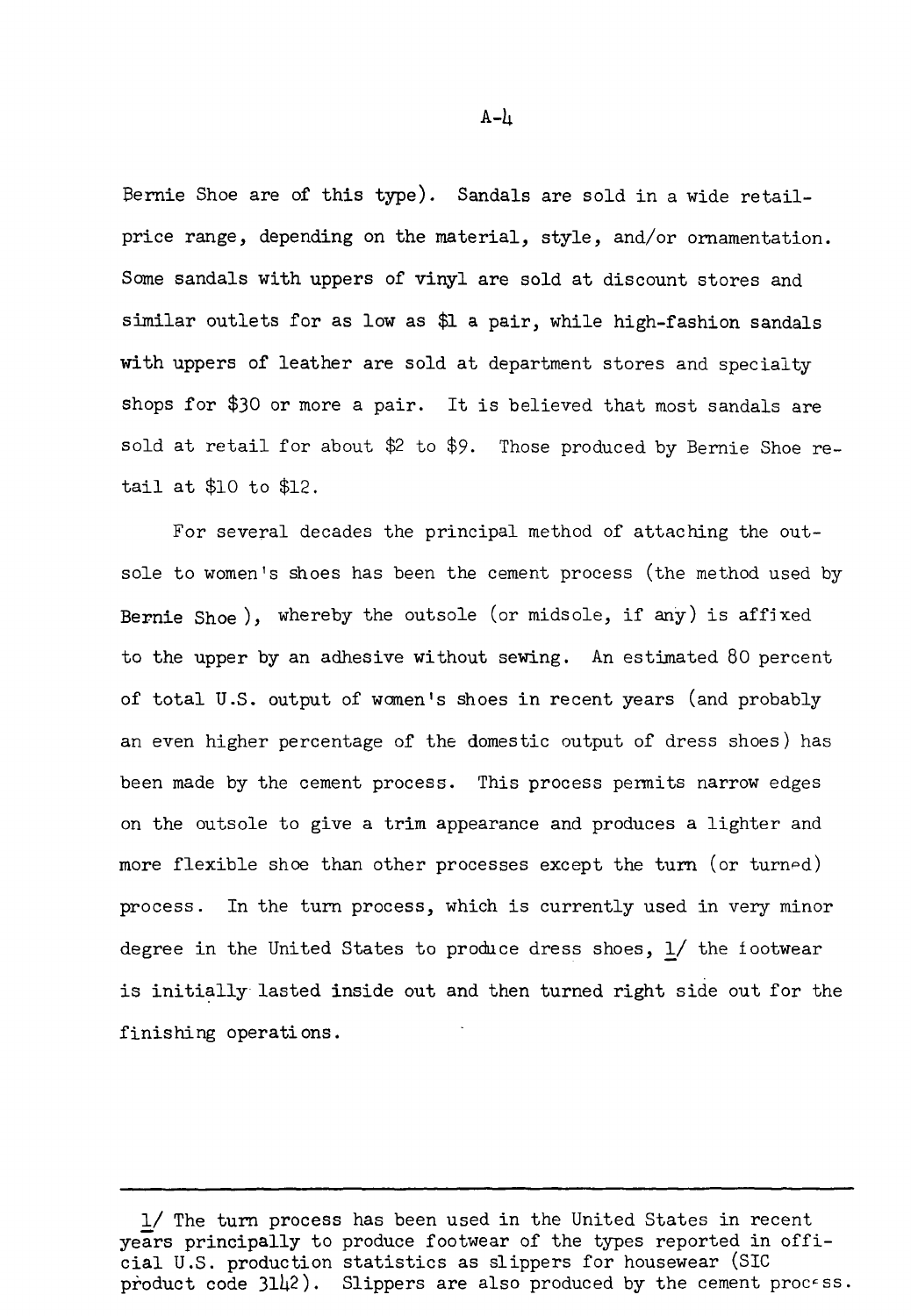Bernie Shoe are of this type). Sandals are sold in a wide retailprice range, depending on the material, style, and/or ornamentation. Some sandals with uppers of vinyl are sold at discount stores and similar outlets for as low as \$1 a pair, while high-fashion sandals with uppers of leather are sold at department stores and specialty shops for \$30 or more a pair. It is believed that most sandals are sold at retail for about \$2 to \$9. Those produced by Bernie Shoe retail at \$10 to \$12.

For several decades the principal method of attaching the outsole to women's shoes has been the cement process (the method used by Bernie Shoe), whereby the outsole (or midsole, if any) is affjxed to the upper by an adhesive without sewing. An estimated 80 percent of total U.S. output of women's shoes in recent years (and probably an even higher percentage of the domestic output of dress shoes) has been made by the cement process. This process permits narrow edges on the outsole to give a trim appearance and produces a lighter and more flexible shoe than other processes except the turn (or turned) process. In the turn process, which is currently used in very minor degree in the United States to produce dress shoes, !/ the iootwear is initially lasted inside out and then turned right side out for the finishing operations.

 $A-l_1$ 

<sup>1/</sup> The turn process has been used in the United States in recent years principally to produce footwear of the types reported in official U.S. production statistics as slippers for housewear (SIC product code 3142). Slippers are also produced by the cement proc~ss.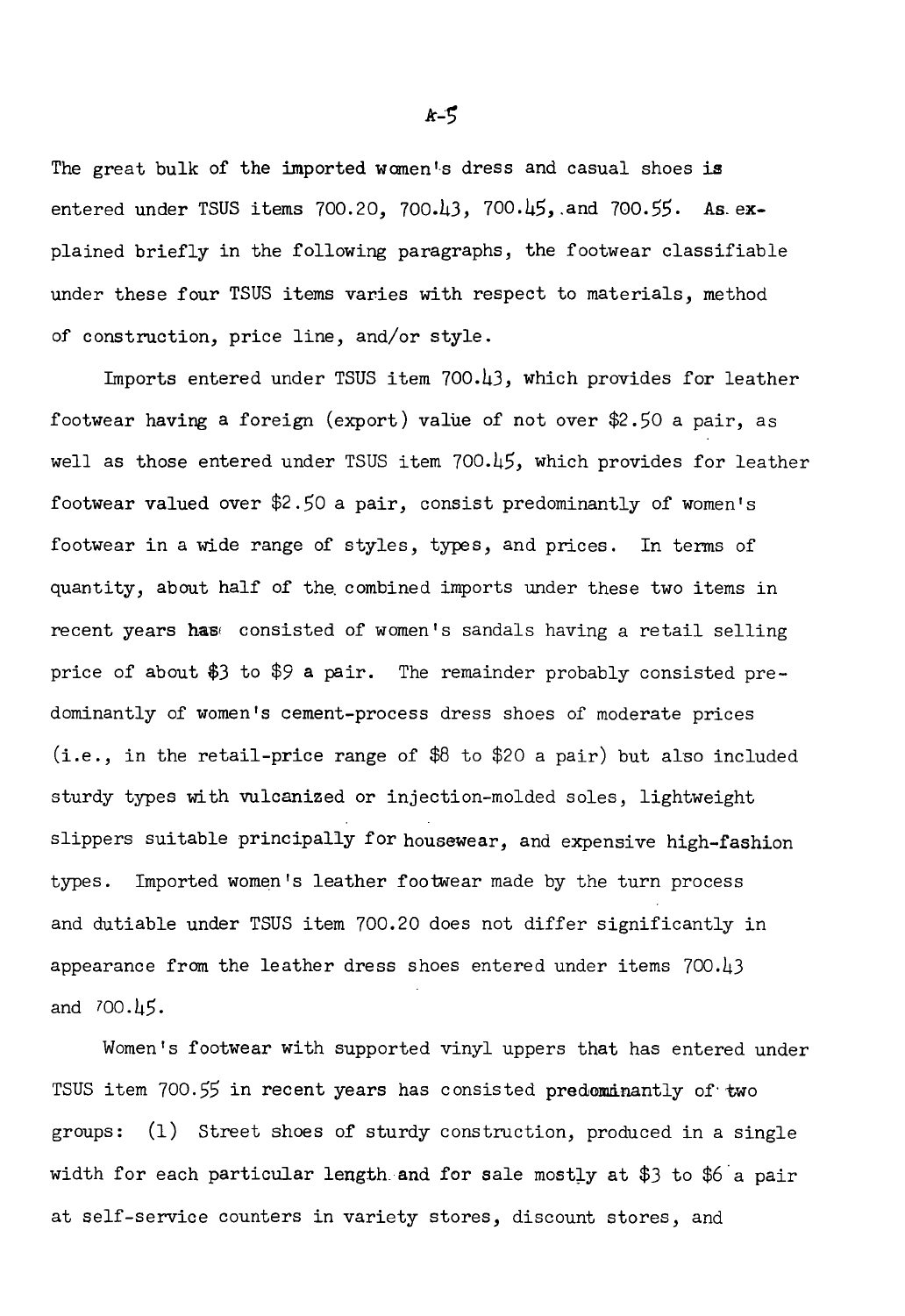The great bulk of the imported women's dress and casual shoes is entered under TSUS items 700.20, 700.43, 700.45, and 700.55. As. explained briefly in the following paragraphs, the footwear classifiable under these four TSUS items varies with respect to materials, method of construction, price line, and/or style.

Imports entered under TSUS item 700.43, which provides for leather footwear having a foreign (export) value of not over \$2.SO a pair, as well as those entered under TSUS item 700.45, which provides for leather footwear valued over \$2.SO a pair, consist predominantly of women's footwear in a wide range of styles, types, and prices. In terms of quantity, about half of the. combined imports under these two items in recent years has consisted of women's sandals having a retail selling price of about  $$3$  to  $$9$  a pair. The remainder probably consisted predominantly of women's cement-process dress shoes of moderate prices (i.e., in the retail-price range of \$8 to \$20 a pair) but also included sturdy types with vulcanized or injection-molded soles, lightweight slippers suitable principally for housewear, and expensive high-fashion types. Imported women's leather footwear made by the turn process and dutiable under TSUS item 700.20 does not differ significantly in appearance from the leather dress shoes entered under items  $700.13$ and 700.45.

Women's footwear with supported vinyl uppers that has entered under TSUS item 700.55 in recent years has consisted predominantly of two groups: (1) Street shoes of sturdy construction, produced in a single width for each particular length and for sale mostly at \$3 to \$6 a pair at self-service counters in variety stores, discount stores, and

 $k-5$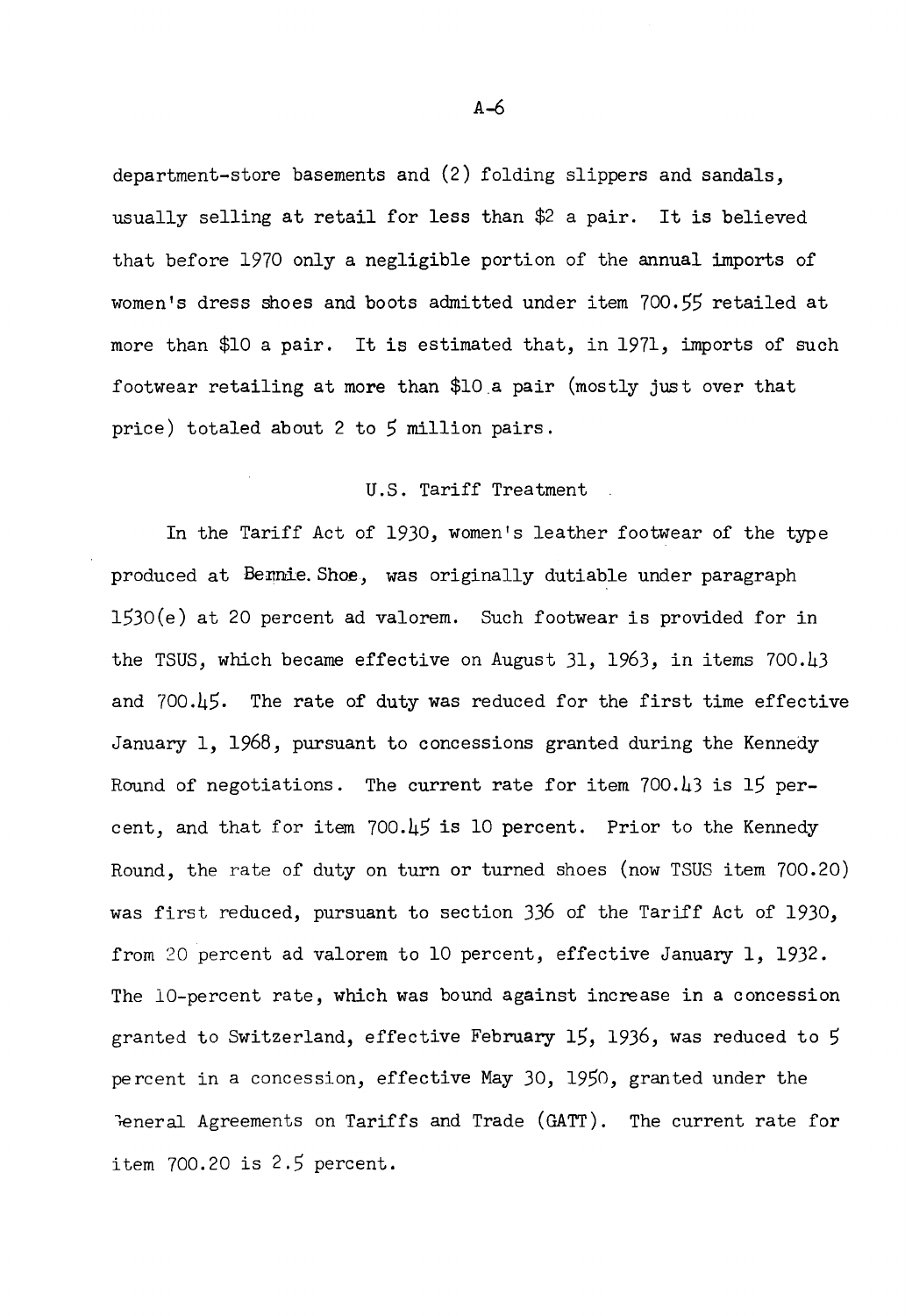department-store basements and (2) folding slippers and sandals, usually selling at retail for less than \$2 a pair. It is believed that before 1970 only a negligible portion of the annual imports of women's dress shoes and boots admitted under item 700.55 retailed at more than \$10 a pair. It is estimated that, in 1971, imports of such footwear retailing at more than \$10 a pair (mostly just over that price) totaled about 2 to 5 million pairs.

## U.S. Tariff Treatment

In the Tariff Act of 1930, women's leather footwear of the type produced at Bennie. Shoe, was originally dutiable under paragraph 1530(e) at 20 percent ad valorem. Such footwear is provided for in the TSUS, which became effective on August 31, 1963, in items 700.43 and 700.45. The rate of duty was reduced for the first time effective January 1, 1968, pursuant to concessions granted during the Kennedy Round of negotiations. The current rate for item 700.43 is 15 percent, and that for item 700.45 is 10 percent. Prior to the Kennedy Round, the rate of duty on turn or turned shoes (now TSUS item 700.20) was first reduced, pursuant to section 336 of the Tariff Act of 1930, from 20 percent ad valorem to 10 percent, effective January 1, 1932. The 10-percent rate, which was bound against increase in a concession granted to Switzerland, effective February 15, 1936, was reduced to 5 percent in a concession, effective May 30, 1950, granted under the ieneral Agreements on Tariffs and Trade (GATT). The current rate for item 700.20 is 2.5 percent.

 $A-6$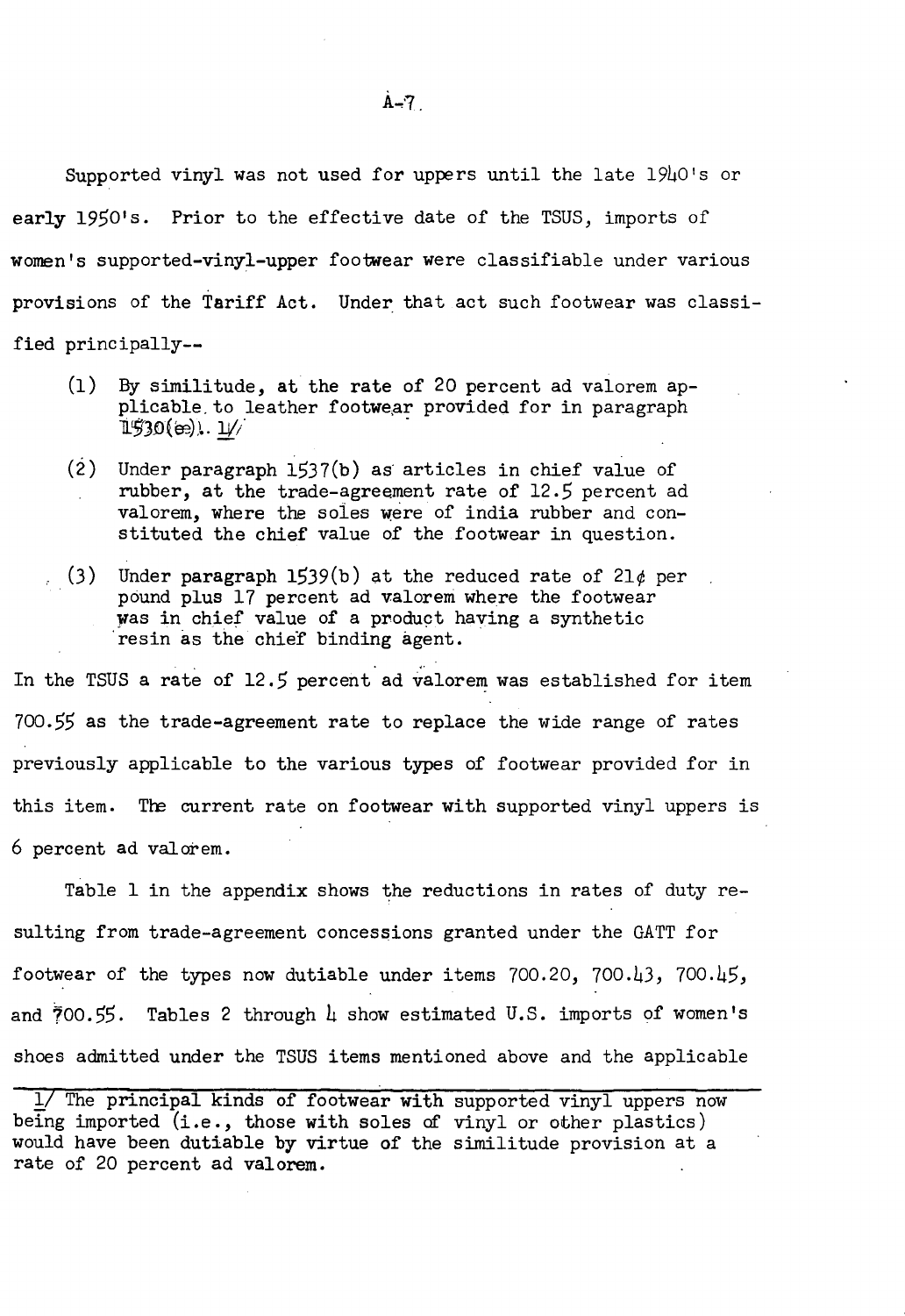Supported vinyl was not used for uppers until the late  $19\mu0$ 's or early 1950's. Prior to the effective date of the TSUS, imports of women's supported-vinyl-upper footwear were classifiable under various provisions of the Tariff Act. Under that act such footwear was classified principally--

- - (1) By similitude, at the rate of 20 percent ad valorem applicable to leather footwear provided for in paragraph  $1530(e)$ .  $1/7$
	- (2) Under paragraph  $1537(b)$  as articles in chief value of rubber, at the trade-agreement rate of 12.5 percent ad valorem, where the soies were of india rubber and constituted the chief value of the footwear in question .
	- . (3) Under paragraph  $1539(b)$  at the reduced rate of  $21¢$  per pound plus 17 percent ad valorem where the footwear was in chief value of a product having a synthetic resin as the chief binding agent.

In the TSUS a rate of 12.5 percent ad valorem was established for item *700.55* as the trade-agreement rate to replace the wide range of rates previously applicable to the various types of footwear provided for in this item. The current rate on footwear with supported vinyl uppers is 6 percent ad valorem.

Table 1 in the appendix shows the reductions in rates of duty resulting from trade-agreement concessions granted under the GATT for footwear of the types now dutiable under items  $700.20$ ,  $700.43$ ,  $700.45$ , and *?oo.55.* Tables 2 through 4 show estimated U.S. imports of women's shoes admitted under the TSUS items mentioned above and the applicable

l/ The principal kinds of footwear with supported vinyl uppers now being imported (i.e., those with soles of vinyl or other plastics) would have been dutiable by virtue of the similitude provision at a rate of 20 percent ad valorem.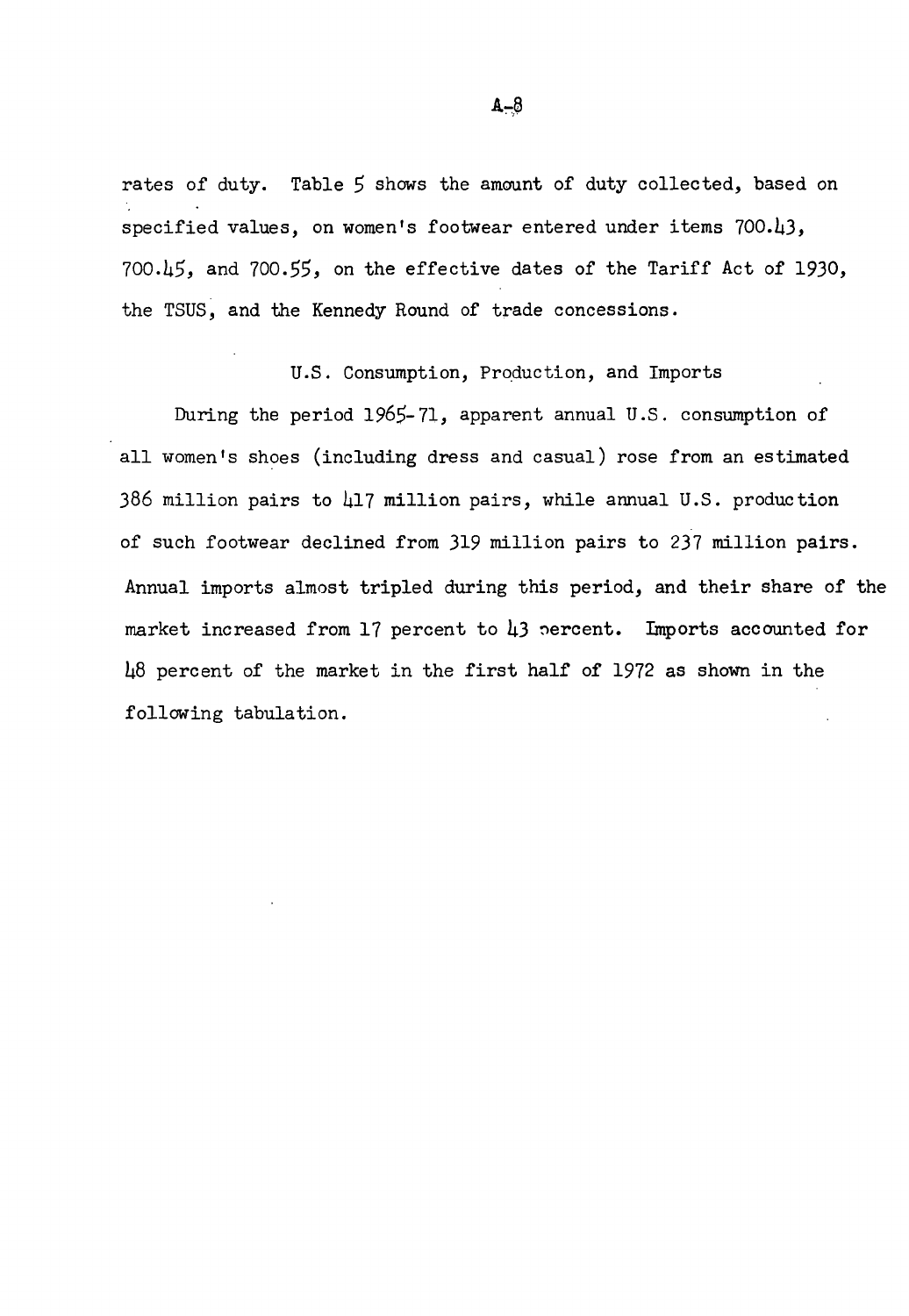rates of duty. Table 5 shows the amount of duty collected, based on specified values, on women's footwear entered under items 700.43, 700.45, and 700.55, on the effective dates of the Tariff Act of 1930, the TSUS, and the Kennedy Round of trade concessions.

U.S. Consumption, Production, and Imports

During the period  $1965-71$ , apparent annual U.S. consumption of all women's shoes (including dress and casual) rose from an estimated 386 million pairs to  $\mu$ 17 million pairs, while annual U.S. production of such footwear declined from 319 million pairs to 237 million pairs. Annual imports almost tripled during this period, and their share of the market increased from 17 percent to  $\mu$ 3 percent. Imports accounted for 48 percent of the market in the first half of 1972 as shown in the following tabulation.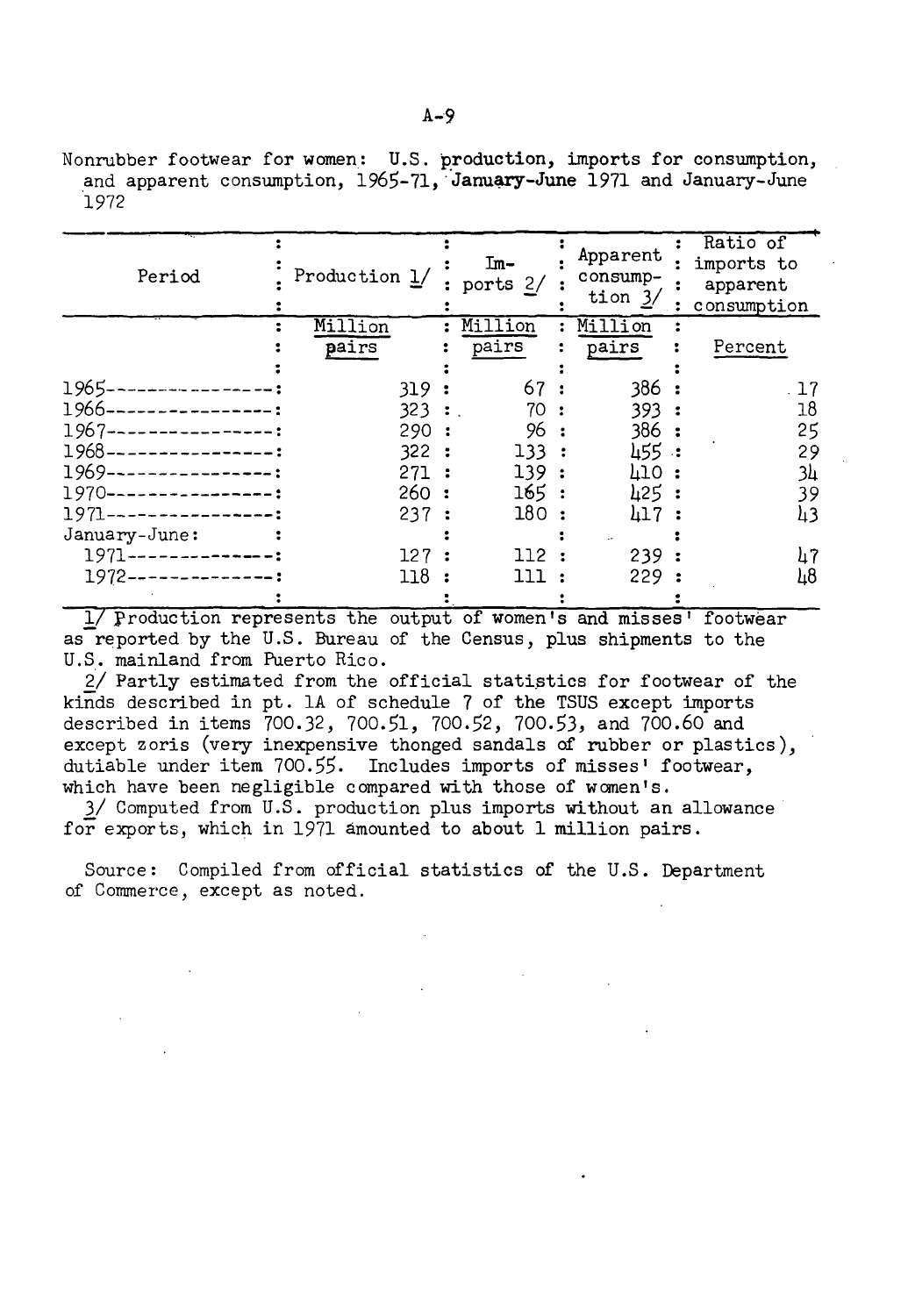Nonrubber footwear for women: U.S. production, imports for consumption, and apparent consumption, 1965-71, January-June 1971 and January-June 1972

| Period                        | Production 1/ |              | $Im-$<br>ports $2/$ | Apparent<br>consump-<br>tion $3/$ | Ratio of<br>imports to<br>apparent<br>consumption |
|-------------------------------|---------------|--------------|---------------------|-----------------------------------|---------------------------------------------------|
|                               | Million       |              | Million             | Million                           |                                                   |
|                               | pairs         |              | pairs               | pairs                             | Percent                                           |
| 1965----------------          | 319:          |              | 67                  | 386                               | $-17$                                             |
| $1966$ ----------------:      | 323 :         |              | 70                  | 393                               | 18                                                |
| $1967$ ----------------       | 290           | $\mathbf{r}$ | 96:                 | 386:                              | 25                                                |
| $1968$ ---------------        | 322 :         |              | 133:                | 455 :                             | 29                                                |
| $1969$ -----------------      | 271:          |              | 139:                | 710 :                             | 34                                                |
| 1970----------------          | 260:          |              | 165:                | 425 :                             | 39                                                |
| $1971$ ----------------:      | 237:          |              | 180                 | 417 :                             | 43                                                |
| January-June:                 |               |              |                     |                                   |                                                   |
| $1971$ --------------         | 127:          |              | 112                 | 239:                              | 47                                                |
| 1972-<br>---------- <b>--</b> | 118           |              | 111                 | 229:                              | 48                                                |
|                               |               |              |                     |                                   |                                                   |

17 froduction represents the output of women's and misses' footwear as reported by the U.S. Bureau of the Census, plus shipments to the U.S. mainland from Puerto Rico.

2/ Partly estimated from the official statistics for footwear of the kinds described in pt. lA of schedule 7 of the TSUS except imports described in items 700.32, 700.51, 700.52, 700.53, and 700.60 and except zoris (very inexpensive thonged sandals of rubber or plastics), dutiable under item 700.55. Includes imports of misses' footwear, which have been negligible compared with those of women's.

3/ Computed from U.S. production plus imports without an allowance for exports, which in 1971 amounted to about 1 million pairs.

Source: Compiled from official statistics of the U.S. Department of Commerce, except as noted.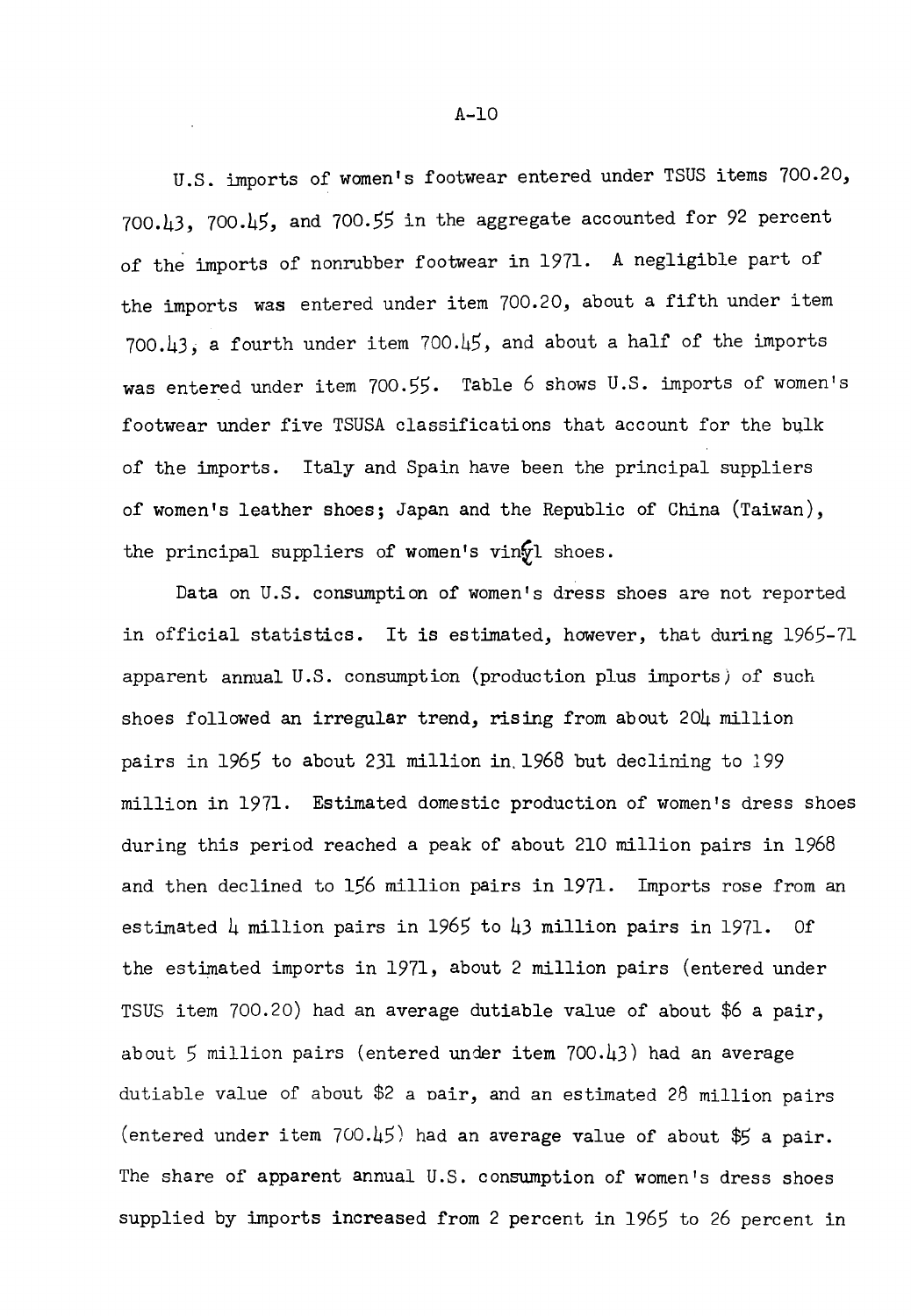U.S. imports of women's footwear entered under TSUS items 700.20, 700.43, 700.45, and *700.55* in the aggregate accounted for 92 percent of the imports of nonrubber footwear in 1971. A negligible part of the imports was entered under item 700.20, about a fifth under item 700.43; a fourth under item 700.45, and about a half of the imports was entered under item 700.55. Table 6 shows U.S. imports of women's footwear under five TSUSA classifications that account for the bulk of the imports. Italy and Spain have been the principal suppliers of women's leather shoes; Japan and the Republic of China (Taiwan), the principal suppliers of women's vin€1 shoes.

Data on U.S. consumption of women's dress shoes are not reported in official statistics. It is estimated, however, that during 1965-71 apparent annual U.S. consumption (production plus imports) of such shoes followed an irregular trend, rising from about 204 million pairs in 1965 to about 231 million in.1968 but declining to 199 million in 1971. Estimated domestic production of women's dress shoes during this period reached a peak of about 210 million pairs in 1968 and then declined to 156 million pairs in 1971. Imports rose from an estimated 4 million pairs in 1965 to 43 million pairs in 1971. Of the estimated imports in 1971, about 2 million pairs (entered under TSUS item 700.20) had an average dutiable value of about \$6 a pair, about  $5$  million pairs (entered under item  $700.43$ ) had an average dutiable value of about \$2 a oair, and an estimated 28 million pairs (entered under item  $700.45$ ) had an average value of about \$5 a pair. The share of apparent annual U.S. consumption of women's dress shoes supplied by imports increased from 2 percent in 1965 to 26 percent in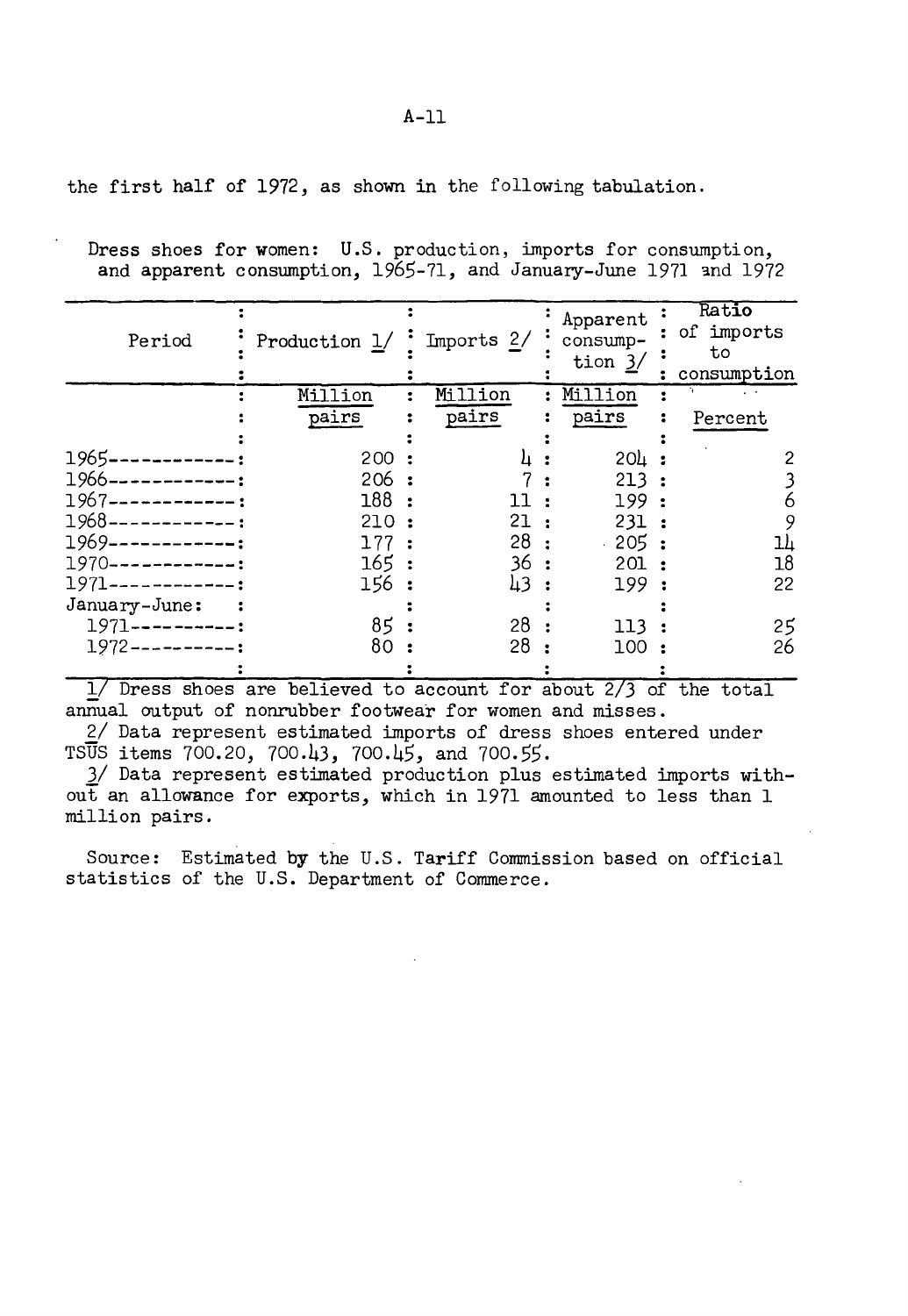the first half of 1972, as shown in the following tabulation.

| Period               | Production 1/ | Imports 2/ | Apparent<br>consump-<br>tion $3/$ | Ratio<br>of imports<br>to<br>consumption |
|----------------------|---------------|------------|-----------------------------------|------------------------------------------|
|                      | Million       | Million    | Million                           |                                          |
|                      | pairs         | pairs      | pairs                             | Percent                                  |
|                      |               |            |                                   |                                          |
| 1965-                | 200           | L.         | 201:                              |                                          |
| $1966$ ------------: | 206:          |            | 213:                              |                                          |
| $1967$ ------------  | 188:          | 11         | 199:                              |                                          |
| $1968$ -----------   | 210           | 21         | 231:                              |                                          |
| $1969$ ------------  | 177:          | 28:        | 205:                              | 14                                       |
| $1970---------$      | 165           | 36 -       | 201:                              | 18                                       |
| $1971$ ------------: | 156           | 43         | 199 :                             | 22                                       |
| January-June:        |               |            |                                   |                                          |
| $1971------$         | 85            | 28         | 113                               | 25                                       |
| $1972$ ---------:    | 80            | 28         | 100.                              | 26                                       |
|                      |               |            |                                   |                                          |

Dress shoes for women: U.S. production, imports for consumption, and apparent consumption,  $1965-71$ , and January-June 1971 and 1972

l) Dress shoes are believed to account for about 2/3 of the total annual output of nonrubber footwear for women and misses.

2/ Data represent estimated imports of dress shoes entered under TSUS items 700.20, 700.43, 700.45, and 700.55.

3/ Data represent estimated production plus estimated imports without an allowance for exports, which in 1971 amounted to less than 1 million pairs.

Source: Estimated by the U.S. Tariff Commission based on official statistics of the U.S. Department of Commerce.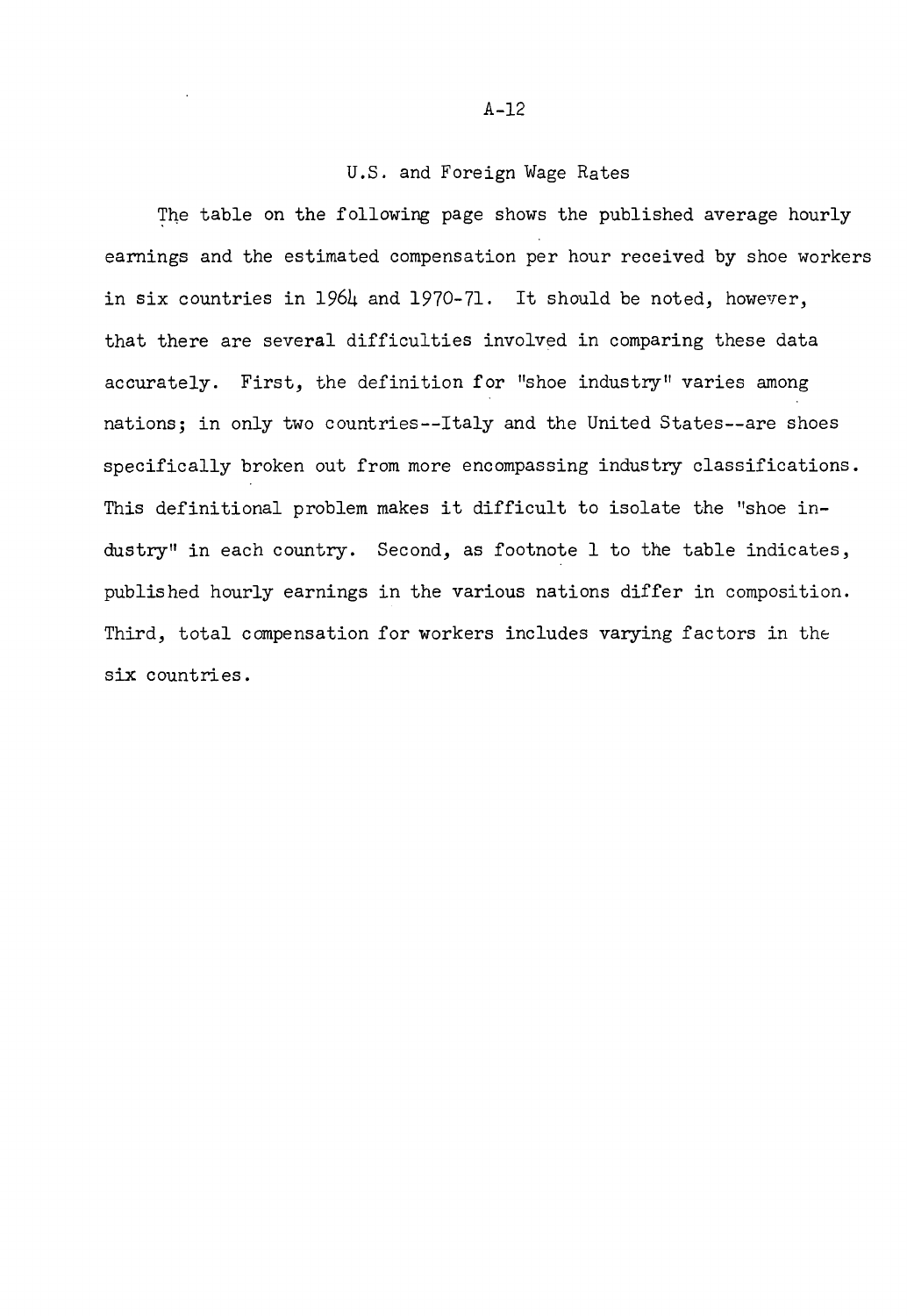## U.S. and Foreign Wage Rates

The table on the following page shows the published average hourly earnings and the estimated compensation per hour received by shoe workers in six countries in 1964 and 1970-71. It should be noted, however, that there are several difficulties involved in comparing these data accurately. First, the definition for "shoe industry" varies among nations; in only two countries--Italy and the United States--are shoes specifically broken out from more encompassing industry classifications. This definitional problem makes it difficult to isolate the ''shoe industry" in each country. Second, as footnote 1 to the table indicates, published hourly earnings in the various nations differ in composition. Third, total compensation for workers includes varying factors in the six countries.

#### A-12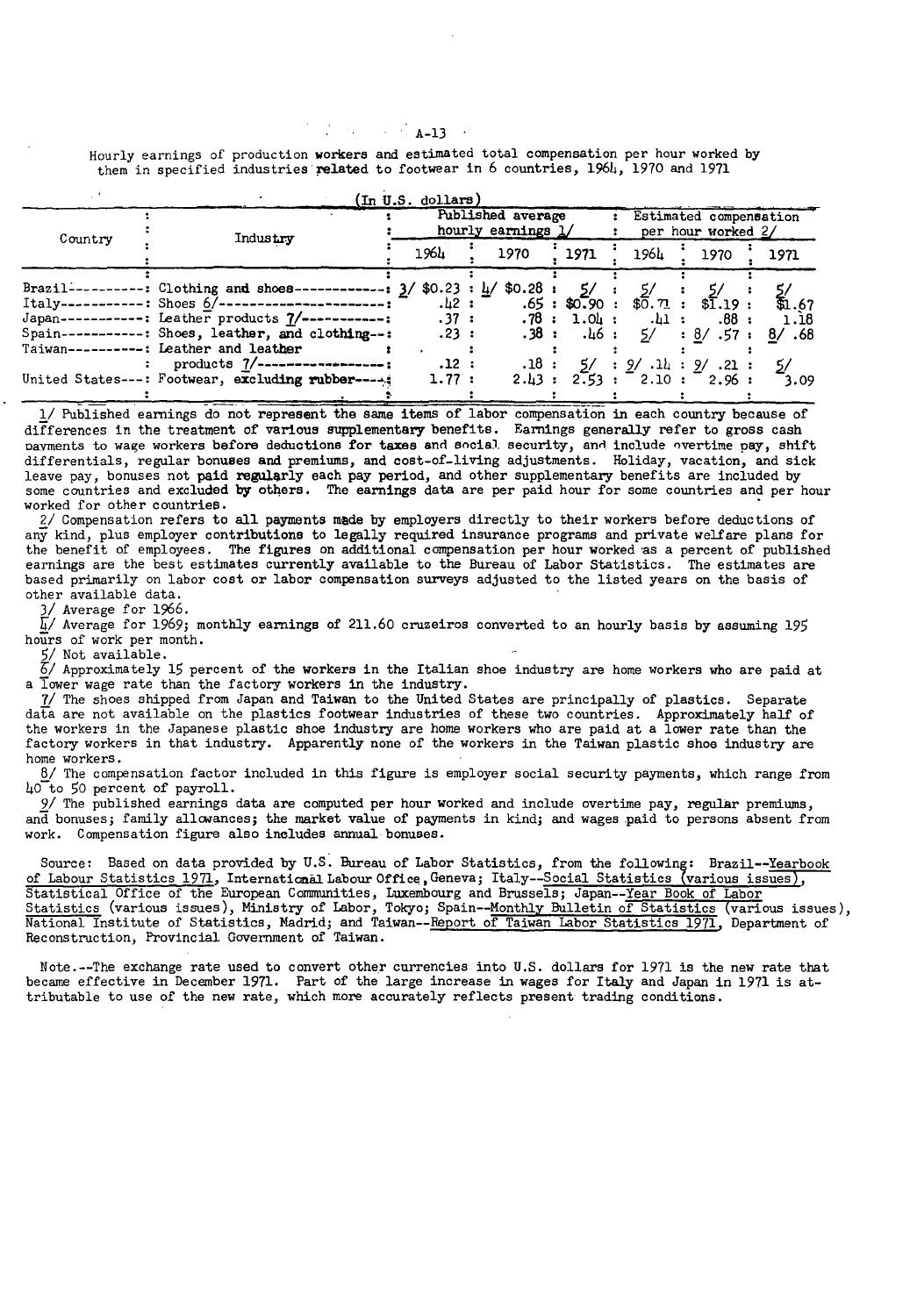Hourly earnings of production workers and estimated total compensation per hour worked by them in specified industries related to footwear in 6 countries, 1964, 1970 and 1971

 $A-13$ 

|         |                                                                              | (In U.S. dollars) |                                         |              |                                              |                                                             |                  |  |
|---------|------------------------------------------------------------------------------|-------------------|-----------------------------------------|--------------|----------------------------------------------|-------------------------------------------------------------|------------------|--|
| Country | Industry                                                                     |                   | Published average<br>hourly earnings 1/ |              | Estimated compensation<br>per hour worked 2/ |                                                             |                  |  |
|         |                                                                              | 1964              | 1970                                    | 1971         | 196L                                         | 1970                                                        | 1971             |  |
|         | Brazil----------: Clothing and shoes-------------: $3/$ \$0.23 : 4/ \$0.28 : |                   |                                         | - 57         |                                              |                                                             |                  |  |
|         | Italy-----------: Shoes $6$ /----------------------:                         |                   | .42 :                                   | .65: \$0.90: |                                              | $\sqrt[3]{2}$ . 7 : $\sqrt[3]{3}$ . 19 :                    | 5/<br>\$1.67     |  |
|         | $Japan-----$ ---------: Leather products $7$ -----------:                    | .37:              |                                         | .78 : 1.04 : |                                              | . 41: . 88:                                                 | 1.18             |  |
|         | Spain-----------: Shoes, leather, and clothing--:                            | .23:              | .38 :                                   | .46 :        | 5/                                           | : 8/ .57:                                                   | 8/0.68           |  |
|         | Taiwan----------: Leather and leather                                        |                   |                                         |              |                                              |                                                             |                  |  |
|         | $products$ $7/----------1$                                                   | .12:              |                                         |              |                                              |                                                             |                  |  |
|         | United States ---: Footwear, excluding rubber -----                          | 1.77:             |                                         |              |                                              | $.18 : 5/ : 9/.14 : 9/.21 :$<br>2.43 : 2.53 : 2.10 : 2.96 : | $\frac{5}{3.09}$ |  |
|         |                                                                              |                   |                                         |              |                                              |                                                             |                  |  |

1/ Published. earnings do not represent the same items of labor compensation in each country because of differences in the treatment of various supplementary benefits. Earnings generally refer to gross cash narroctives and workers before deductions for taxes and social security, and include overtime pay, shift differentials, regular bonuses and premiums, and cost-of-living adjustments. Holiday, vacation, and sick leave pay, bonuses not paid regularly each pay period, and other supplementary benefits are included by some countries and excluded by others. The earnings data are per paid hour for some countries and per hour worked for

2/ Compensation refers to all payments made by employers directly to their workers before deductions of any kind, plus employer contributions to legally required insurance programs and private welfare plans for the benefit of employees. The figures on additional compensation per hour worked as a percent of published earnings are the best estimates currently available to the Bureau of Labor Statistics. The estimates are basis<br>based primarily on labor cost or labor compensation surveys adjusted to the listed years on the basis of other available data.

3/ Average for 1966.

 $\tilde{\rm h}$ / Average for 1969; monthly earnings of 211.60 cruzeiros converted to an hourly basis by assuming 195 hours of work per month.

5/ Not available.

 $\frac{E}{D}$  Approximately 15 percent of the workers in the Italian shoe industry are home workers who are paid at a Tower wage rate than the factory workers in the industry.

l( The shoes shipped from Japan and Taiwan to the United States are principally of plastics. Separate data are not available on the plastics footwear industries of these two countries. Approximately half of the workers in the Japanese plastic shoe industry are home workers who are paid at a lower rate than the factory workers in that industry. Apparently none of the workers in the Taiwan plastic shoe industry are home workers. home workers.<br>8/ The compensation factor included in this figure is employer social security payments, which range from

40-to 50 percent of payroll.

*9/* The published earnings data are computed per hour worked and include overtime pay, regular premiums, and bonuses; family allowances; the market value of payments in kind; and wages paid to persons absent from work. Compensation figure also includes annual bonuses.

Source: Based on data provided by U.S. Bureau of Labor Statistics, from the following: Brazil--Yearbook of Labour Statistics 1971, International Labour Office, Geneva; Italy--Social Statistics (various issues Statistical Office of the European Communities, Luxembourg and Brussels; Japan--Year Book of Labor Statistics (various issues), Ministry of Labor, Tokyo; Spain--Monthly Bulletin of Statistics (various issues), National Institute of Statistics, Madrid; and Taiwan--Report of Taiwan Labor Statistics 1971, Department of Reconstruction, Provincial Government of Taiwan.

Note.--The exchange rate used to convert other currencies into U.S. dollars for 1971 is the new rate that became effective in December 1971. Part of the large increase in wages for Italy and Japan in 1971 is attributable to use of the new rate, which more accurately reflects present trading conditions.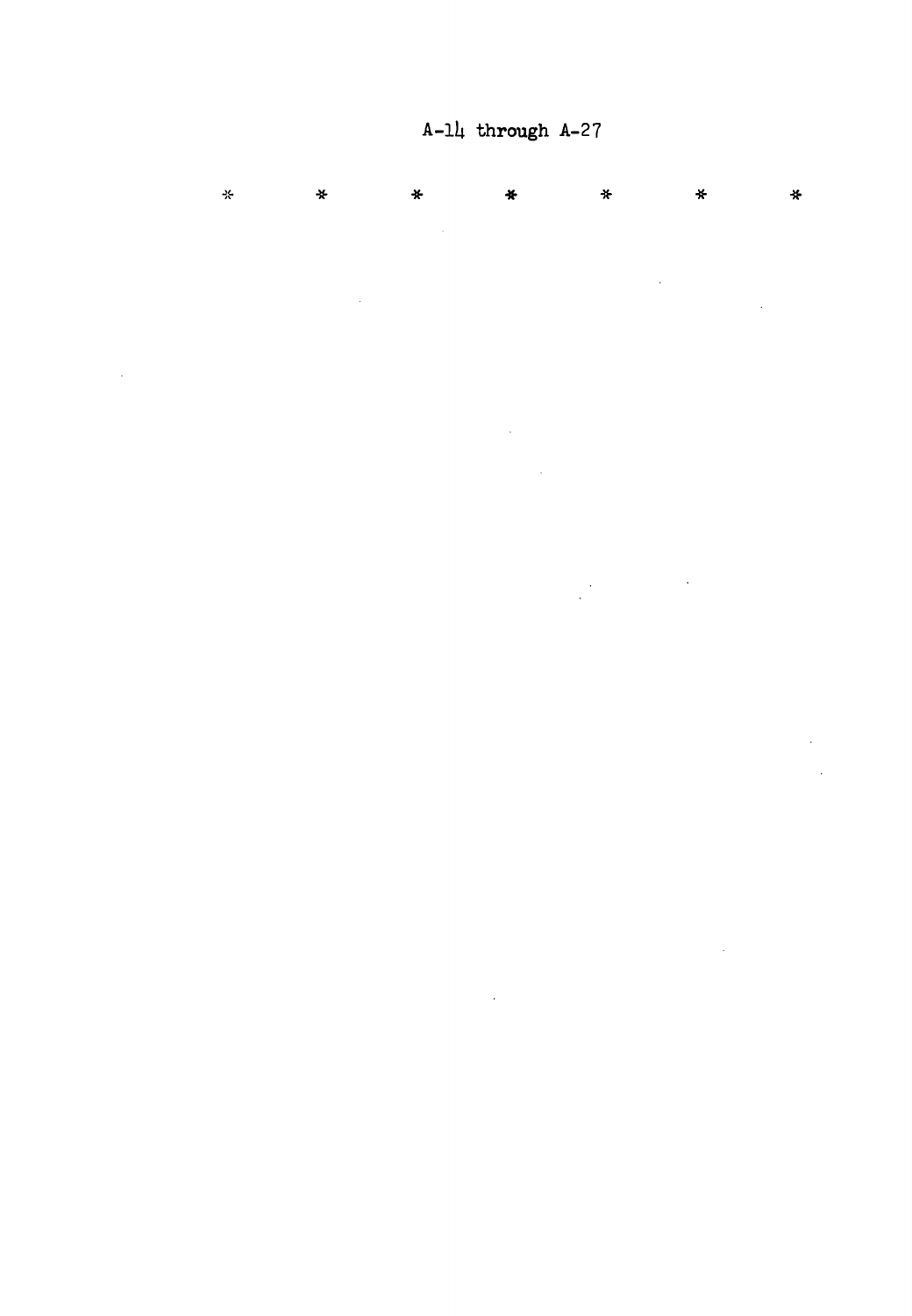$A-11$  through  $A-27$ 

|               | ╬ | ∗                             | $*$                                                                                                                                | $\ast$                                                                                                       | ₩                                                                                                                                                                                                                                                                                                                                                                | $\ast$                                                    | ₩                    |
|---------------|---|-------------------------------|------------------------------------------------------------------------------------------------------------------------------------|--------------------------------------------------------------------------------------------------------------|------------------------------------------------------------------------------------------------------------------------------------------------------------------------------------------------------------------------------------------------------------------------------------------------------------------------------------------------------------------|-----------------------------------------------------------|----------------------|
|               |   |                               | $\mathcal{L}(\mathcal{L}^{\mathcal{L}})$ and $\mathcal{L}(\mathcal{L}^{\mathcal{L}})$ and $\mathcal{L}(\mathcal{L}^{\mathcal{L}})$ |                                                                                                              |                                                                                                                                                                                                                                                                                                                                                                  |                                                           |                      |
|               |   |                               |                                                                                                                                    |                                                                                                              |                                                                                                                                                                                                                                                                                                                                                                  |                                                           |                      |
|               |   | $\hat{\boldsymbol{\epsilon}}$ |                                                                                                                                    |                                                                                                              | $\mathcal{L}^{\text{max}}_{\text{max}}$ and $\mathcal{L}^{\text{max}}_{\text{max}}$                                                                                                                                                                                                                                                                              | $\mathcal{L}(\mathcal{L})$ and $\mathcal{L}(\mathcal{L})$ |                      |
|               |   |                               |                                                                                                                                    |                                                                                                              |                                                                                                                                                                                                                                                                                                                                                                  |                                                           |                      |
|               |   |                               |                                                                                                                                    |                                                                                                              |                                                                                                                                                                                                                                                                                                                                                                  |                                                           |                      |
| $\sim$ $\sim$ |   |                               |                                                                                                                                    |                                                                                                              |                                                                                                                                                                                                                                                                                                                                                                  |                                                           |                      |
|               |   |                               |                                                                                                                                    | $\mathcal{L}_{\text{max}}$ and $\mathcal{L}_{\text{max}}$ . We can also                                      |                                                                                                                                                                                                                                                                                                                                                                  |                                                           |                      |
|               |   |                               |                                                                                                                                    |                                                                                                              |                                                                                                                                                                                                                                                                                                                                                                  |                                                           |                      |
|               |   |                               |                                                                                                                                    | $\mathcal{L}^{\mathcal{L}}(\mathcal{L}^{\mathcal{L}}(\mathcal{L}^{\mathcal{L}}(\mathcal{L}^{\mathcal{L}})))$ |                                                                                                                                                                                                                                                                                                                                                                  |                                                           |                      |
|               |   |                               |                                                                                                                                    |                                                                                                              |                                                                                                                                                                                                                                                                                                                                                                  |                                                           |                      |
|               |   |                               |                                                                                                                                    |                                                                                                              |                                                                                                                                                                                                                                                                                                                                                                  |                                                           |                      |
|               |   |                               |                                                                                                                                    |                                                                                                              | $\label{eq:2.1} \frac{1}{\sqrt{2}}\sum_{i=1}^n\frac{1}{\sqrt{2}}\sum_{i=1}^n\frac{1}{\sqrt{2}}\sum_{i=1}^n\frac{1}{\sqrt{2}}\sum_{i=1}^n\frac{1}{\sqrt{2}}\sum_{i=1}^n\frac{1}{\sqrt{2}}\sum_{i=1}^n\frac{1}{\sqrt{2}}\sum_{i=1}^n\frac{1}{\sqrt{2}}\sum_{i=1}^n\frac{1}{\sqrt{2}}\sum_{i=1}^n\frac{1}{\sqrt{2}}\sum_{i=1}^n\frac{1}{\sqrt{2}}\sum_{i=1}^n\frac$ |                                                           |                      |
|               |   |                               |                                                                                                                                    |                                                                                                              |                                                                                                                                                                                                                                                                                                                                                                  |                                                           |                      |
|               |   |                               |                                                                                                                                    |                                                                                                              |                                                                                                                                                                                                                                                                                                                                                                  |                                                           |                      |
|               |   |                               |                                                                                                                                    |                                                                                                              |                                                                                                                                                                                                                                                                                                                                                                  |                                                           |                      |
|               |   |                               |                                                                                                                                    |                                                                                                              |                                                                                                                                                                                                                                                                                                                                                                  |                                                           |                      |
|               |   |                               |                                                                                                                                    |                                                                                                              |                                                                                                                                                                                                                                                                                                                                                                  |                                                           | $\ddot{\phantom{0}}$ |
|               |   |                               |                                                                                                                                    |                                                                                                              |                                                                                                                                                                                                                                                                                                                                                                  |                                                           | $\hat{\mathcal{A}}$  |
|               |   |                               |                                                                                                                                    |                                                                                                              |                                                                                                                                                                                                                                                                                                                                                                  |                                                           |                      |
|               |   |                               |                                                                                                                                    |                                                                                                              |                                                                                                                                                                                                                                                                                                                                                                  |                                                           |                      |
|               |   |                               |                                                                                                                                    |                                                                                                              |                                                                                                                                                                                                                                                                                                                                                                  |                                                           |                      |
|               |   |                               |                                                                                                                                    |                                                                                                              |                                                                                                                                                                                                                                                                                                                                                                  |                                                           |                      |
|               |   |                               |                                                                                                                                    |                                                                                                              |                                                                                                                                                                                                                                                                                                                                                                  |                                                           |                      |
|               |   |                               |                                                                                                                                    |                                                                                                              |                                                                                                                                                                                                                                                                                                                                                                  | $\epsilon$                                                |                      |
|               |   |                               |                                                                                                                                    | $\mathcal{L}^{\text{max}}_{\text{max}}$ , where $\mathcal{L}^{\text{max}}_{\text{max}}$                      |                                                                                                                                                                                                                                                                                                                                                                  |                                                           |                      |
|               |   |                               |                                                                                                                                    |                                                                                                              |                                                                                                                                                                                                                                                                                                                                                                  |                                                           |                      |
|               |   |                               |                                                                                                                                    |                                                                                                              |                                                                                                                                                                                                                                                                                                                                                                  |                                                           |                      |
|               |   |                               |                                                                                                                                    |                                                                                                              |                                                                                                                                                                                                                                                                                                                                                                  |                                                           |                      |
|               |   |                               |                                                                                                                                    |                                                                                                              |                                                                                                                                                                                                                                                                                                                                                                  |                                                           |                      |
|               |   |                               |                                                                                                                                    |                                                                                                              |                                                                                                                                                                                                                                                                                                                                                                  |                                                           |                      |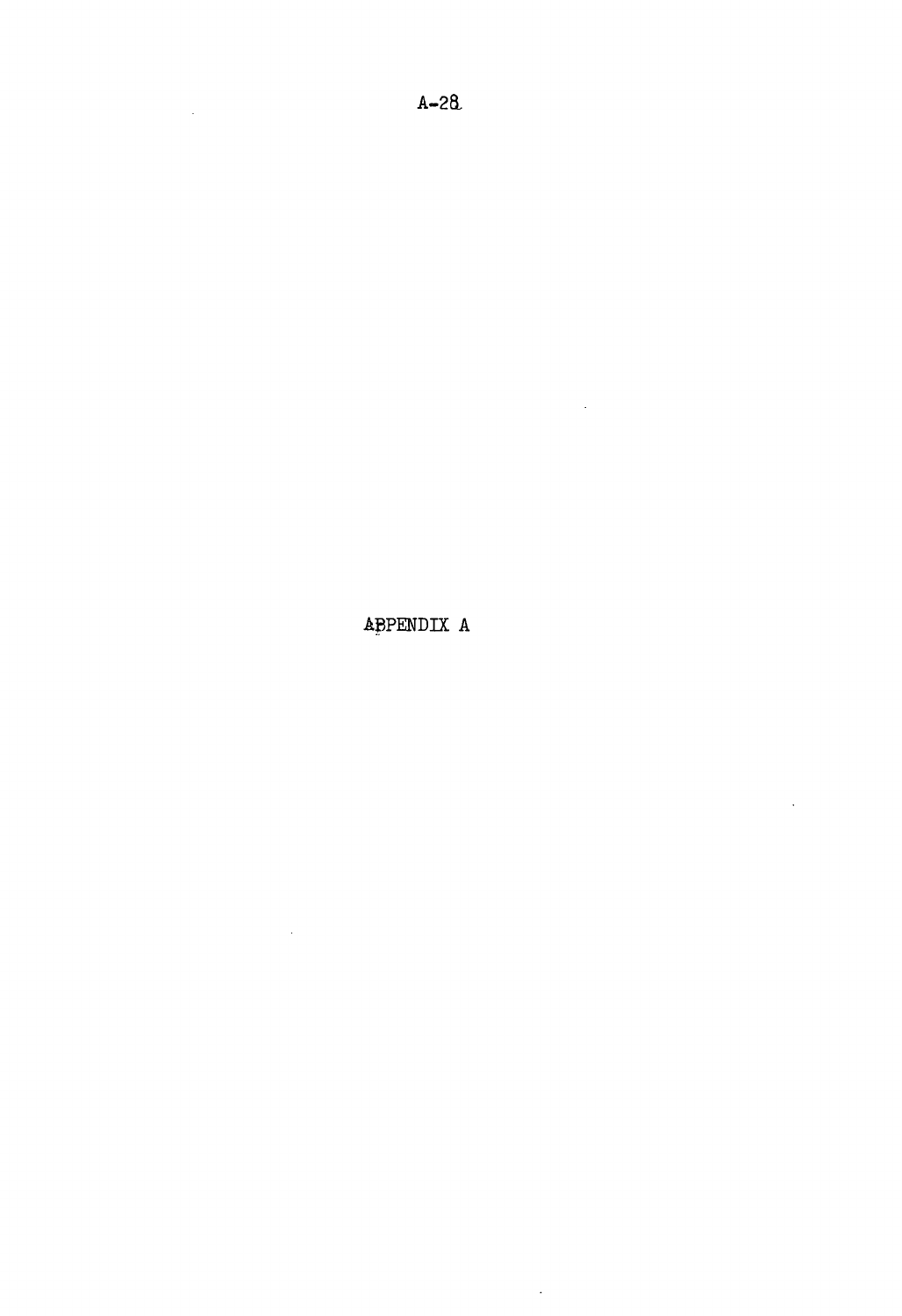ABPENDIX A

 $\frac{1}{2} \left( \frac{1}{2} \right)$ 

 $\mathcal{L}^{\text{max}}_{\text{max}}$  ,  $\mathcal{L}^{\text{max}}_{\text{max}}$ 

 $\hat{\mathcal{A}}$ 

 $\sim$ 

 $\mathcal{L}^{\text{max}}_{\text{max}}$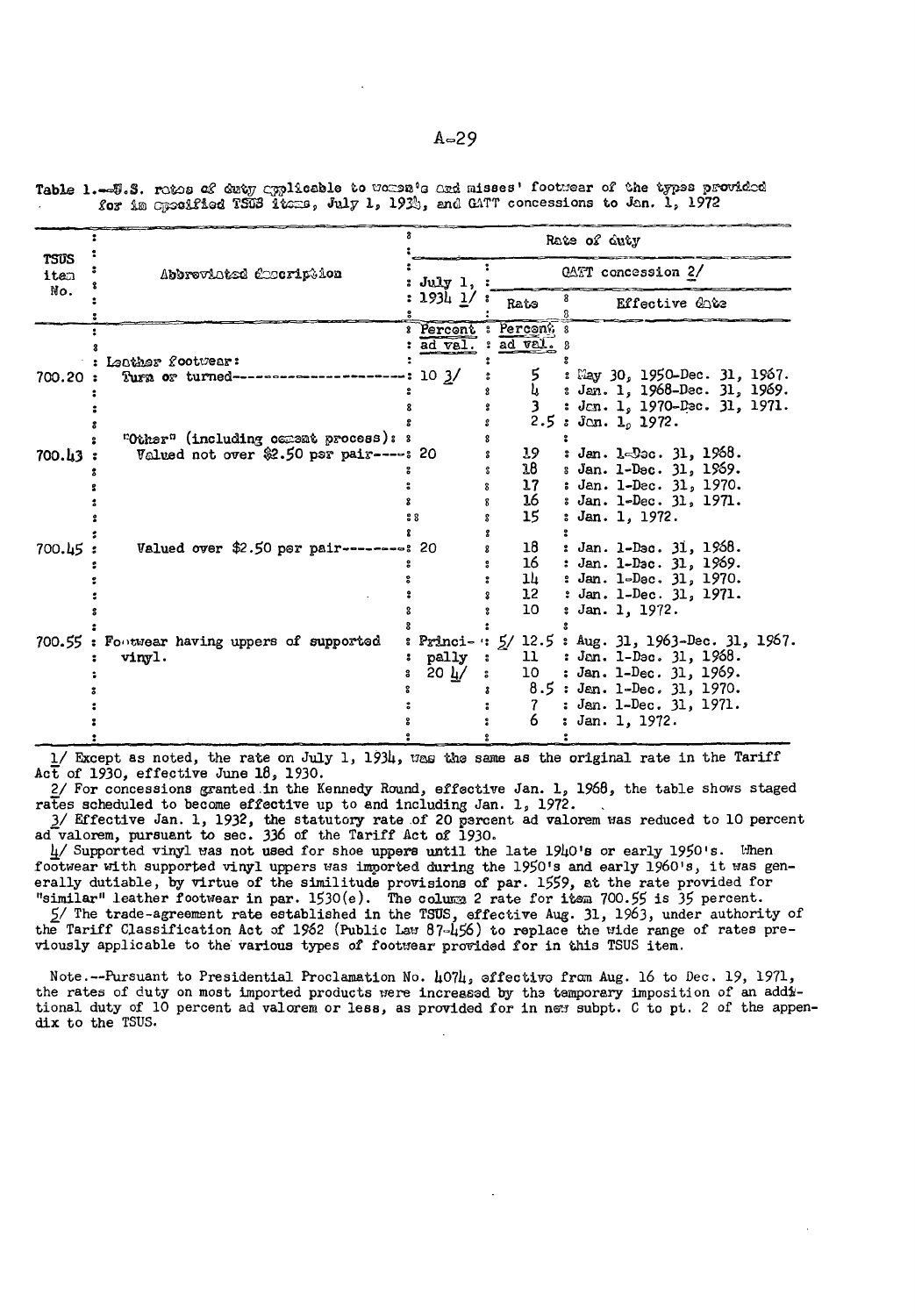|                     |                                                                                         |                               |                                           | Rate of duty                                                                                                                                                                             |
|---------------------|-----------------------------------------------------------------------------------------|-------------------------------|-------------------------------------------|------------------------------------------------------------------------------------------------------------------------------------------------------------------------------------------|
| <b>TSUS</b><br>iten | Abbreviated description                                                                 | : July 1, :                   |                                           | CATT concession 2/                                                                                                                                                                       |
| No.                 |                                                                                         | $1934 \underline{1}$ / :      | Rate                                      | Effective 6262                                                                                                                                                                           |
|                     | Lanther footwear:                                                                       | a Percont :<br>$:$ ad $val.$  | Percont 8<br>ad val.<br>ē.                | R                                                                                                                                                                                        |
| 700.20:             | Turn or turned--                                                                        | $10 \frac{3}{2}$              | 5.<br>ħ                                   | : May 30, 1950-Dec. 31, 1967.<br>: Jan. 1, 1968-Dec. 31, 1969.                                                                                                                           |
|                     |                                                                                         |                               |                                           | : Jan. 1, 1970-Dec. 31, 1971.<br>$2.5:$ Jan. 1, 1972.                                                                                                                                    |
| 700.13:             | "Other" (including comeat process): :<br>Valued not over \$2.50 per pair ----: 20<br>38 |                               | 19<br>18<br>17<br>16<br>15                | : Jan. 1-Dec. 31, 1968.<br>: Jan. 1-Dec. 31, 1969.<br>: Jan. 1-Dec. 31, 1970.<br>: Jan. 1-Dec. 31, 1971.<br>: Jan. 1, 1972.                                                              |
| 700.45:             | Valued over \$2.50 per pair -------- 20                                                 |                               | 18<br>16<br>14 I<br>12 <sup>°</sup><br>10 | : Jan. 1-Dac. 31, 1968.<br>: Jan. 1-Dac. 31, 1969.<br>: Jan. 1-Dec. 31, 1970.<br>: Jan. 1-Dec. 31, 1971.<br>: Jan. 1, 1972.                                                              |
|                     | 700.55: Footwear having uppers of supported<br>vinyl.                                   | pally :<br>$20 \frac{1}{2}$ : | 10<br>6.                                  | : Princi- : 5/ 12.5 : Aug. 31, 1963-Dec. 31, 1967.<br>11 : Jan. 1-Dac. 31, 1968.<br>: Jan. 1-Dec. 31, 1969.<br>8.5 : Jan. 1-Dec. 31, 1970.<br>: Jan. 1-Dec. 31, 1971.<br>: Jan. 1, 1972. |

Table 1.-J.S. rotes of duty opplicable to women's and misses' footwear of the types provided for im Opocified TSUS lices, July 1, 1934, and GATT concessions to Jan. 1, 1972

 $1/$  Except as noted, the rate on July 1, 1934, was the same as the original rate in the Tariff

Act of 1930, effective June 18, 1930.<br>
2/ For concessions granted in the Kennedy Round, effective Jan. 1, 1968, the table shows staged<br>
rates scheduled to become effective up to and including Jan. 1, 1972.

 $2/$  Effective Jan. 1, 1932, the statutory rate of 20 percent ad valorem was reduced to 10 percent ad valorem, pursuant to sec. 336 of the Tariff Act of 1930.

4/ Supported vinyl was not used for shoe uppers until the late 1940's or early 1950's. When footwear with supported vinyl uppers was imported during the 1950's and early 1960's, it was generally dutiable, by virtue of the similitude provisions of par. 1559, at the rate provided for<br>"similar" leather footwear in par. 1530(e). The column 2 rate for item 700.55 is 35 percent.

 $\frac{5}{7}$  The trade-agreement rate established in the TSUS, effective Aug. 31, 1963, under authority of<br>the Tariff Classification Act of 1962 (Public Law 87-456) to replace the wide range of rates pre-<br>viously applicable

Note.--Pursuant to Presidential Proclamation No. 4074, offective from Aug. 16 to Dec. 19, 1971, the rates of duty on most imported products were increased by the temporary imposition of an addi-<br>tional duty of 10 percent ad valorem or less, as provided for in new subpt. C to pt. 2 of the appendix to the TSUS.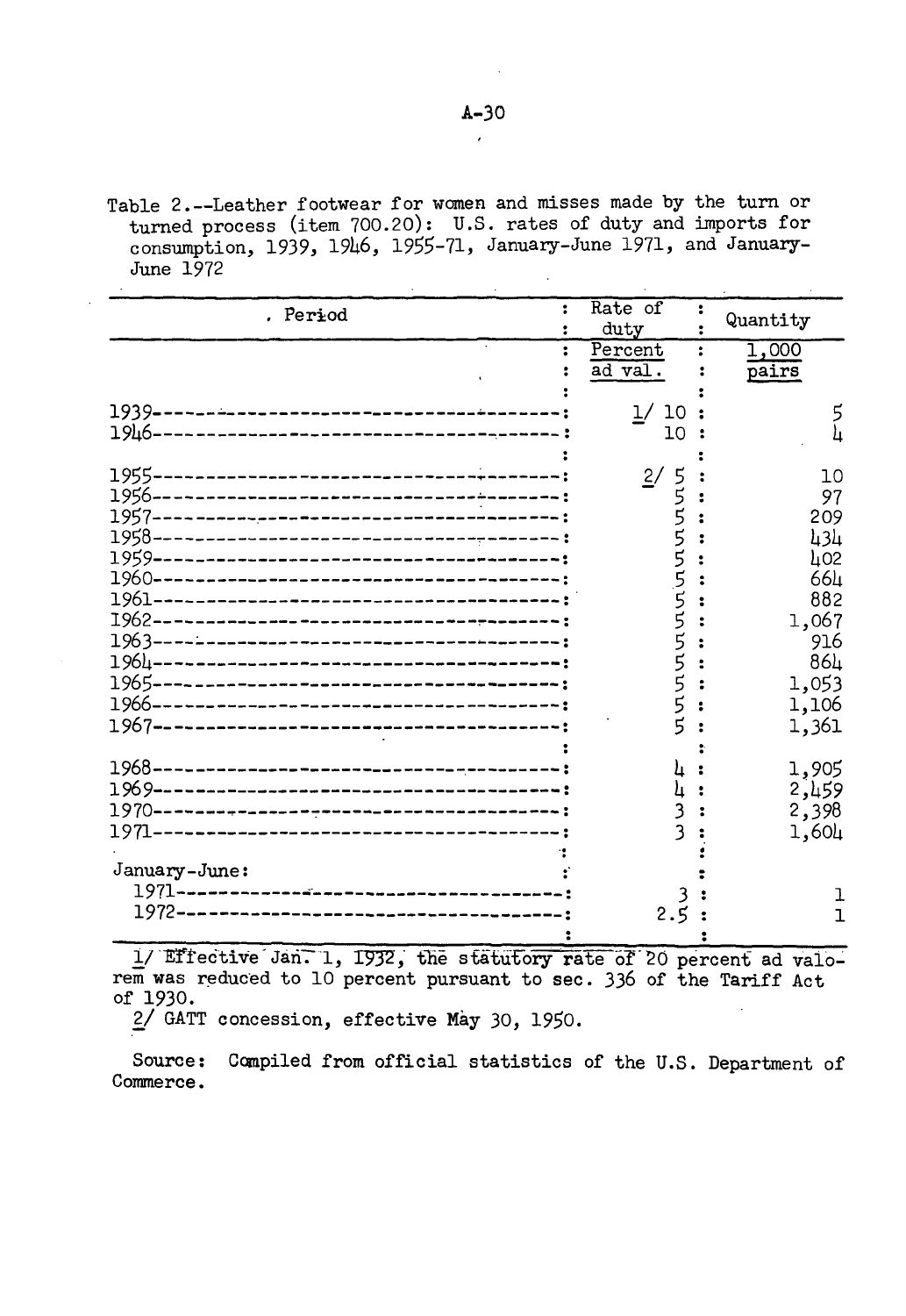Table 2.--Leather footwear for women and misses made by the turn or turned process (item 700.20): U.S. rates of duty and imports for consumption, 1939, 1946, 1955-71, January-June 1971, and January-June 1972

| . Period      | Rate of<br>duty | Quantity            |
|---------------|-----------------|---------------------|
|               | Percent         | $\overline{1}$ ,000 |
|               | ad val.         | pairs               |
|               |                 |                     |
|               | 1/10            |                     |
|               | 10              |                     |
|               | $\frac{2}{ }$   | 10                  |
|               |                 | 97                  |
|               |                 | 209                 |
|               |                 | <b>៤34</b>          |
|               |                 | $L_{02}$            |
|               |                 | 664                 |
|               |                 | 882<br>1,067        |
|               | ららららららららら       | 916                 |
|               |                 | 864                 |
|               |                 | 1,053               |
|               |                 | 1,106               |
|               |                 | 1,361               |
|               |                 |                     |
|               | L<br>4          | 1,905<br>2,459      |
|               | 3               | 2,398               |
|               |                 | 1,604               |
|               |                 |                     |
| January-June: |                 |                     |
|               |                 |                     |
|               | 2.5             |                     |
|               |                 |                     |

 $1/$  Effective Jan. 1,  $1932$ , the statutory rate of 20 percent ad valorem was reduced to 10 percent pursuant to sec. 336 of the Tariff Act Of 1930.

2/ GATT concession, effective May 30, 1950.

Source: Compiled from official statistics of the U.S. Department of Commerce.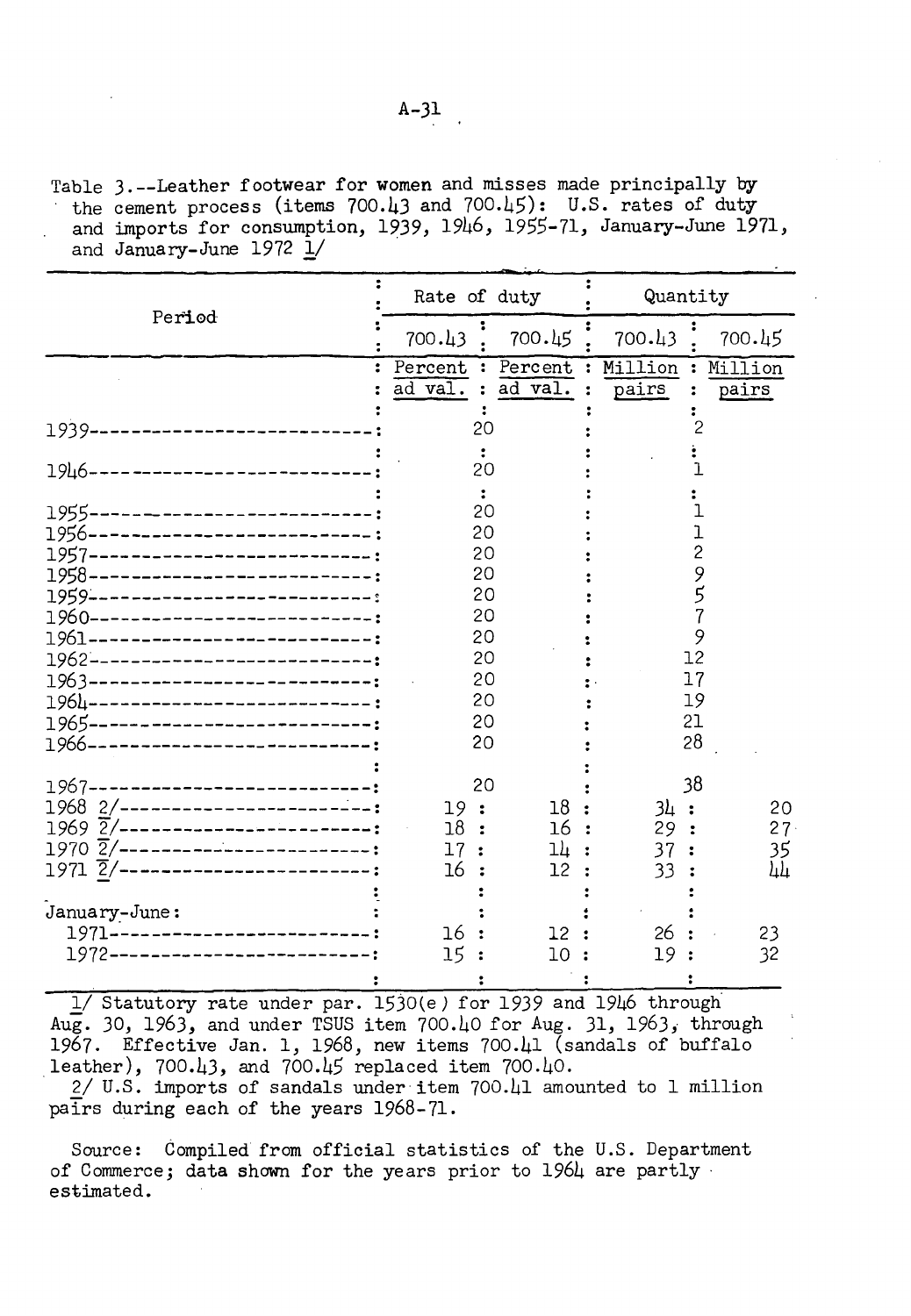Table ).--Leather footwear for women and misses made principally by the cement process (items 700.43 and 700.45): U.S. rates of duty and imports for consumption, 1939, 1946, 1955-71, January-June 1971, and January-June  $1972$   $1/$ 

|                                                                                                 | Rate of duty                             |                           | Quantity                                                        |                           |
|-------------------------------------------------------------------------------------------------|------------------------------------------|---------------------------|-----------------------------------------------------------------|---------------------------|
| Period                                                                                          | $700.43$ .                               | 700.45                    | 700.43                                                          | 700.45                    |
|                                                                                                 | Percent : Percent :<br>ad val. : ad val. |                           | Million : Million<br>$\bullet$<br>pairs<br>$\ddot{\phantom{a}}$ | pairs                     |
| 1939----------------------------                                                                | 20                                       |                           | $\overline{c}$                                                  |                           |
| 1946---------------------------                                                                 | 20                                       |                           |                                                                 |                           |
| 1955---------------------------:<br>1956---------------------------:                            | 20<br>20                                 |                           | 1                                                               |                           |
| 1957----------------------------:<br>1958--------------------------:                            | 20<br>20                                 |                           | $\overline{c}$<br>9                                             |                           |
| 1959----------------------------<br>1960----------------------------:                           | 20<br>20                                 |                           | 5<br>7                                                          |                           |
| 1961---------------------------:<br>1962---------------------------:                            | 20<br>20                                 |                           | 9<br>12                                                         |                           |
| 1963---------------------------:<br>1964----------------------------                            | 20<br>20                                 |                           | 17<br>19                                                        |                           |
| 1965---------------------------:<br>1966---------------------------:                            | 20<br>20                                 |                           | 21<br>28                                                        |                           |
| 1967-----------------------------                                                               | 20                                       |                           | 38                                                              |                           |
| 1968 2/------------------------:                                                                | 19:<br>18:                               | 18:<br>16:                | 34:<br>29:                                                      | 20<br>27                  |
| $1970\frac{2}{2}$ --------------------------<br>$1971$ $\overline{2}/$ -----------------------: | 17:<br>16 :                              | 14 :<br>$12 \overline{ }$ | 37:<br>33:                                                      | 35<br>'nт                 |
| January-June:                                                                                   |                                          |                           |                                                                 |                           |
| 1971-------------------------:<br>1972--------------------------:                               | 16 :<br>15                               | 12.<br>10                 | 26 :<br>19:                                                     | 23<br>$\mathcal{A}$<br>32 |
|                                                                                                 |                                          |                           |                                                                 |                           |

1/ Statutory rate under par. 15.30(e) for 1939 and 1946 through. Aug. 30, 1963, and under TSUS item 700.40 for Aug. 31, 1963, through 1967. Effective Jan. 1, 1968, new items 700.41 (sandals of buffalo leather), 700.43, and 700.45 replaced item 700.40.

 $2/$  U.S. imports of sandals under item 700.41 amounted to 1 million pairs during each of the years 1968-71.

Source: Compiled from official statistics of the U.S. Department of Commerce; data shown for the years prior to 1964 are partly · estimated.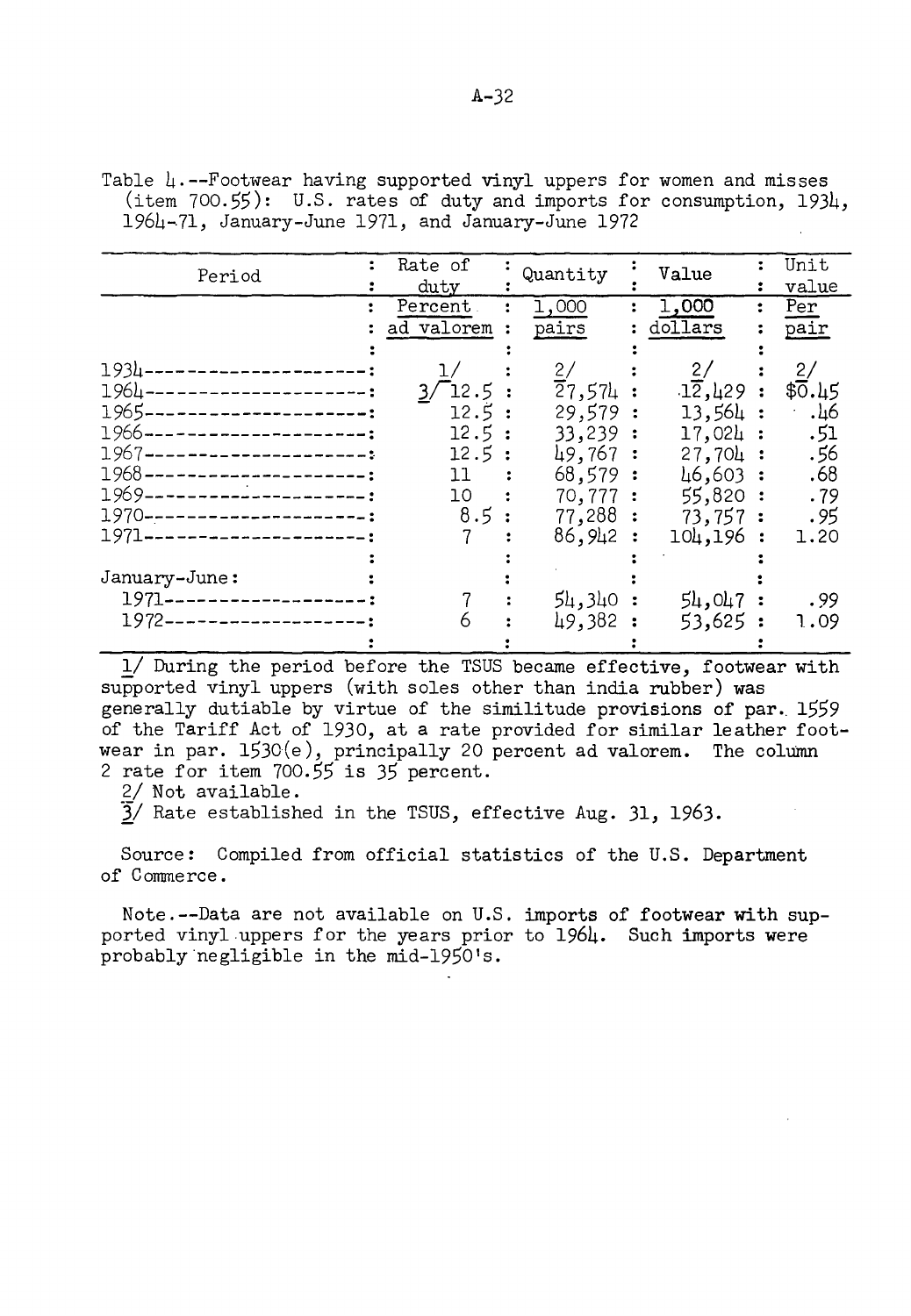| Period                                                                                                                                                                                                                                     | Rate of<br>duty                                                   | Quantity                                                                                      | Value                                                                              | Unit<br>value                                          |
|--------------------------------------------------------------------------------------------------------------------------------------------------------------------------------------------------------------------------------------------|-------------------------------------------------------------------|-----------------------------------------------------------------------------------------------|------------------------------------------------------------------------------------|--------------------------------------------------------|
|                                                                                                                                                                                                                                            | Percent<br>ad valorem                                             | 1,000<br>pairs                                                                                | 1,000<br>$\ddot{\phantom{a}}$<br>dollars                                           | Per<br>pair                                            |
| $1934$ ------------<br>1964----------------------:<br>1965----------------------:<br>1966----------------------<br>1967----------------------<br>1968----------------------:<br>1969----------------------:<br>1970----------------------: | 1/<br>$3/12.5$ :<br>12.5:<br>12.5:<br>12.5:<br>11<br>10 :<br>8.5: | 2/<br>$\overline{2}7,574:$<br>29,579:<br>33,239:<br>49,767:<br>68,579:<br>70.777:<br>77,288 : | 2/<br>12,429:<br>13,564:<br>$17,024$ :<br>27,704:<br>46,603:<br>55,820:<br>73,757: | 2/<br>\$0.45<br>.46<br>.51<br>.56<br>.68<br>.79<br>.95 |
| 1971----------------------:<br>January-June:<br>$1971$ -------------<br>1972--------------------:                                                                                                                                          | $7 \quad$<br>$7 \quad$<br>6                                       | 86,942:<br>54,340:<br>49,382:                                                                 | 104, 196:<br>$54,047$ :<br>53,625:                                                 | 1.20<br>.99<br>1.09                                    |

Table  $\mu$ .--Footwear having supported vinyl uppers for women and misses (item  $700.55$ ): U.S. rates of duty and imports for consumption,  $1934$ , 1964-.71, January-June 1971, and January-June 1972

1/ During the period before the TSUS became effective, footwear with supported vinyl uppers (with soles other than india rubber) was generally dutiable by virtue of the similitude provisions of par. 1559 of the Tariff Act of 1930, at a rate provided for similar leather footwear in par. 1530(e), principally 20 percent ad valorem. The column 2 rate for item 700.55 is 35 percent.<br>2/ Not available.

 $3/$  Rate established in the TSUS, effective Aug. 31, 1963.

Source: Compiled from official statistics of the U.S. Department of Connnerce.

Note.--Data are not available on U.S. imports of footwear with supported vinyl uppers for the years prior to 1964. Such imports were probably negligible in the mid-1950's.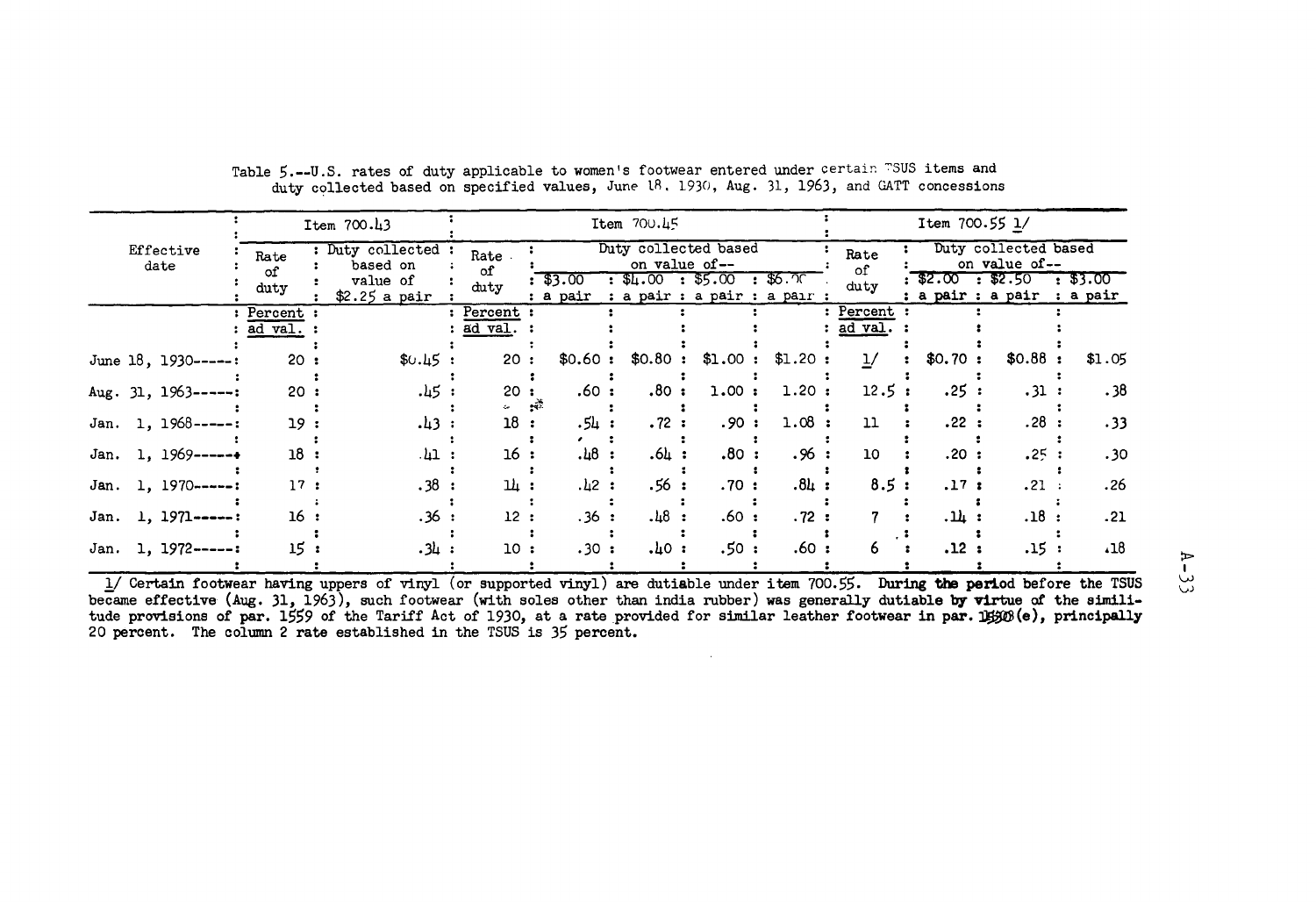|                                                           |                                    | Item $700.43$              |                      |                                     | Item 700.45                   |                                       | Item 700.55 1/ |                    |                              |                                       |                     |
|-----------------------------------------------------------|------------------------------------|----------------------------|----------------------|-------------------------------------|-------------------------------|---------------------------------------|----------------|--------------------|------------------------------|---------------------------------------|---------------------|
| Effective<br>date                                         | Duty collected<br>Rate<br>based on |                            | Rate.<br>οf          |                                     |                               | Duty collected based<br>on value of-- |                | Rate<br>оf         |                              | Duty collected based<br>on value of-- |                     |
|                                                           | οf<br>duty                         | value of<br>$$2.25$ a pair | duty                 | : 3.00<br>: a pair                  | $\frac{1}{1}$ \$4.00 : \$5.00 | a pair : a pair : a pair              | 36.7           | duty               | : \$2.00                     | : \$2.50<br>: a pair : a pair         | : 33.00<br>: a pair |
|                                                           | Percent<br>ad val.                 |                            | : Percent<br>ad val. |                                     |                               |                                       |                | Percent<br>ad val. |                              |                                       |                     |
| June 18, 1930-----:                                       | 20:                                | \$0.45:                    | 20:                  | \$0.60:                             | \$0.80:                       | \$1.00 :                              | \$1.20:        | 1/                 | \$0.70:                      | \$0.88:                               | \$1.05              |
| Aug. 31, 1963------:                                      | 20:                                | .45:                       | 20                   | .60 :                               | .80:                          | 1.00:                                 | 1.20:          | 12.5:              | .25 :                        | .31:                                  | .38                 |
| Jan. 1, 1968-----:                                        | 19:                                | .43                        | 18:                  | .54 :                               | .72:                          | .90:                                  | 1.08:          | 11                 | .22                          | . 28                                  | .33                 |
| Jan. 1, 1969------                                        | 18:                                | .41:                       | 16:                  | .48:                                | .64:                          | .80:                                  | .96:           | 10                 | .20:                         | $.25 -$                               | .30                 |
| Jan. 1, 1970-----:                                        | 17:                                | .38:                       | ᄮᆞ                   | .42:                                | .56:                          | .70:                                  | .84:           | 8.5:               | .17:                         | .21                                   | .26                 |
| Jan. 1, 1971 ------                                       | 16:                                | .36:                       | 12:                  | .36:                                | .48:                          | .60:                                  | .72:           |                    | س.                           | .18:                                  | .21                 |
| Jan. 1, 1972 ------<br>$\sim$ $\sim$ $\sim$ $\sim$ $\sim$ | 15.                                | .34:                       | 10:                  | .30:<br>$\sim$ $\sim$ $\sim$ $\sim$ | .10:                          | .50:                                  | .60:           | 6<br>--- --        | .12:<br>$\sim$ $\sim$ $\sim$ | .15:                                  | .18                 |

| Table 5.--U.S. rates of duty applicable to women's footwear entered under certain "SUS items and |  |  |  |  |  |
|--------------------------------------------------------------------------------------------------|--|--|--|--|--|
| duty collected based on specified values, June 18, 1930, Aug. 31, 1963, and GATT concessions     |  |  |  |  |  |

1/ Certain footwear having uppers of vinyl (or supported vinyl) are dutiable under item 700.55. During the period before the TSUS<br>became effective (Aug. 31, 1963), such footwear (with soles other than india rubber) was gen

 $A-33$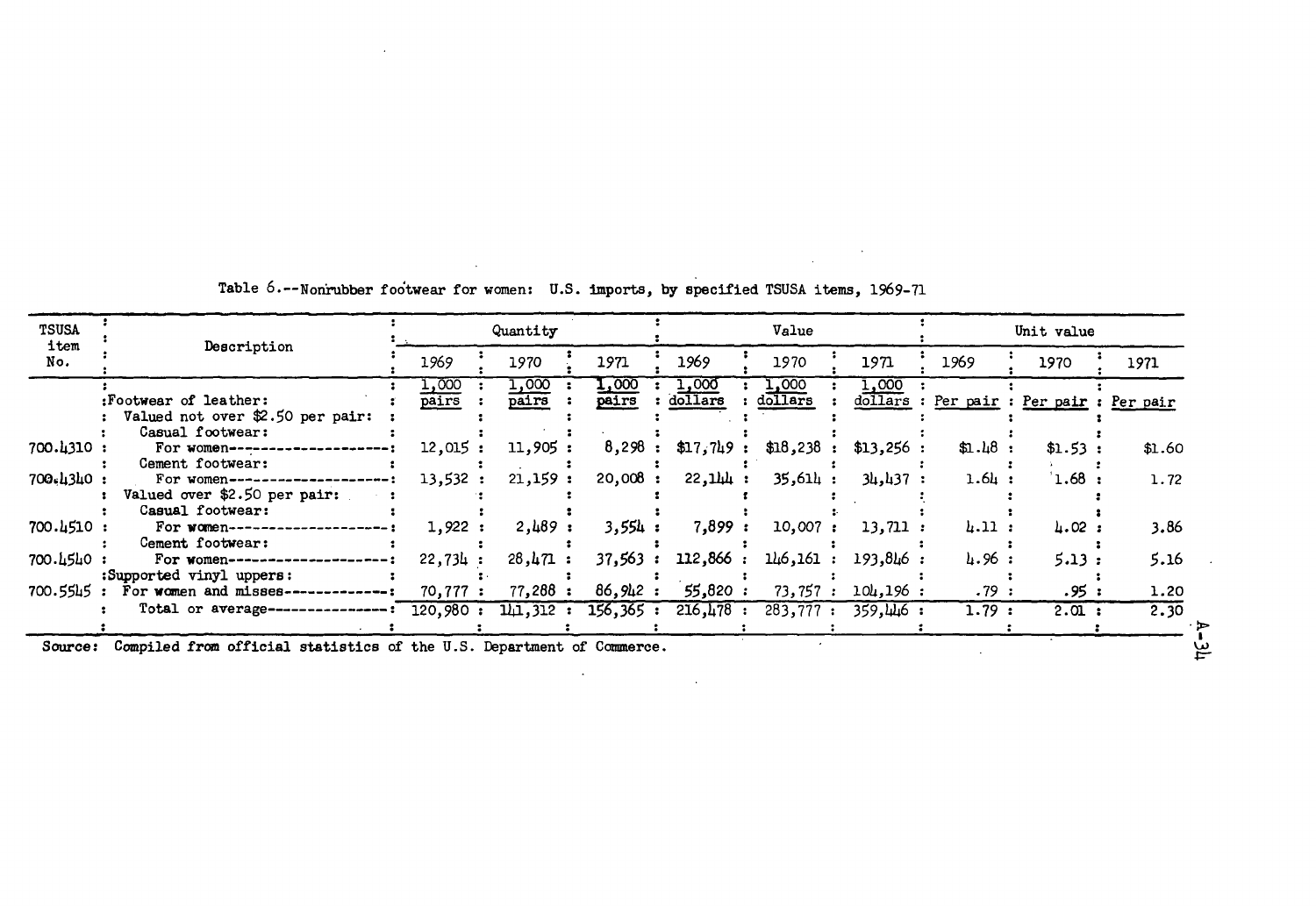| <b>TSUSA</b><br>item |                                                                                                       | Quantity       |                |                | Value            |                     |           | Unit value                               |         |        |  |
|----------------------|-------------------------------------------------------------------------------------------------------|----------------|----------------|----------------|------------------|---------------------|-----------|------------------------------------------|---------|--------|--|
| No.                  | Description                                                                                           | 1969           | 1970           | 1971           | 1969             | 1970                | 1971      | 1969                                     | 1970    | 1971   |  |
|                      | :Footwear of leather:<br>Valued not over \$2.50 per pair:                                             | 1,000<br>pairs | 1,000<br>pairs | 1,000<br>pairs | 1,000<br>dollars | 1,000<br>$d$ ollars | 1,000     | dollars : Per pair : Per pair : Per pair |         |        |  |
| 700.4310:            | Casual footwear:<br>For women----                                                                     | 12,015:        | 11,905:        | 8,298:         | \$17,749:        | \$18,238:           | \$13,256: | \$1.48:                                  | \$1.53: | \$1.60 |  |
| 700,4340:            | Cement footwear:<br>For women---<br>Valued over \$2.50 per pair:                                      | 13,532 :       | 21,159:        | 20,008:        | $22,14$ ;        | 35,614:             | 34,437:   | $1.6h$ :                                 | 1.68:   | 1.72   |  |
| 700.4510:            | Casual footwear:<br>For women---                                                                      | 1,922:         | 2,489:         | 3,554:         | 7,899:           | 10,007:             | 13,711:   | 4.11:                                    | 1.02:   | 3.86   |  |
| 700.4540:            | Cement footwear:<br>For women-------                                                                  | 22,734:        | 28,471:        | 37,563:        | 112,866:         | 146,161:            | 193,846:  | 4.96:                                    | 5.13:   | 5.16   |  |
|                      | :Supported vinyl uppers:<br>700.5545: For women and misses-                                           | 70,777:        | 77,288:        | 86,942:        | 55,820:          | 73,757 :            | 104, 196: | .79:                                     | : 95.   | 1.20   |  |
|                      | Total or average----<br>Counsel Countled Purs affinish statistics of the H.C. Dependment of Companies | 120.980:       | 11,312:        | 156,365:       | $216, 478$ :     | 283,777:            | 359,446 : | 1.79:                                    | 2.01:   | 2.30   |  |

 $\mathcal{A}(\mathcal{A})$  and  $\mathcal{A}(\mathcal{A})$ 

 $\sim$ 

 $\lambda$ 

 $\sim 10^7$ 

Table 6.--Nonrubber footwear for women: U.S. imports, by specified TSUSA items, 1969-71

 $\sim$ 

Source: Compiled from official statistics of the U.S. Department of Commerce.

 $\sim$ 

 $\dot{z}$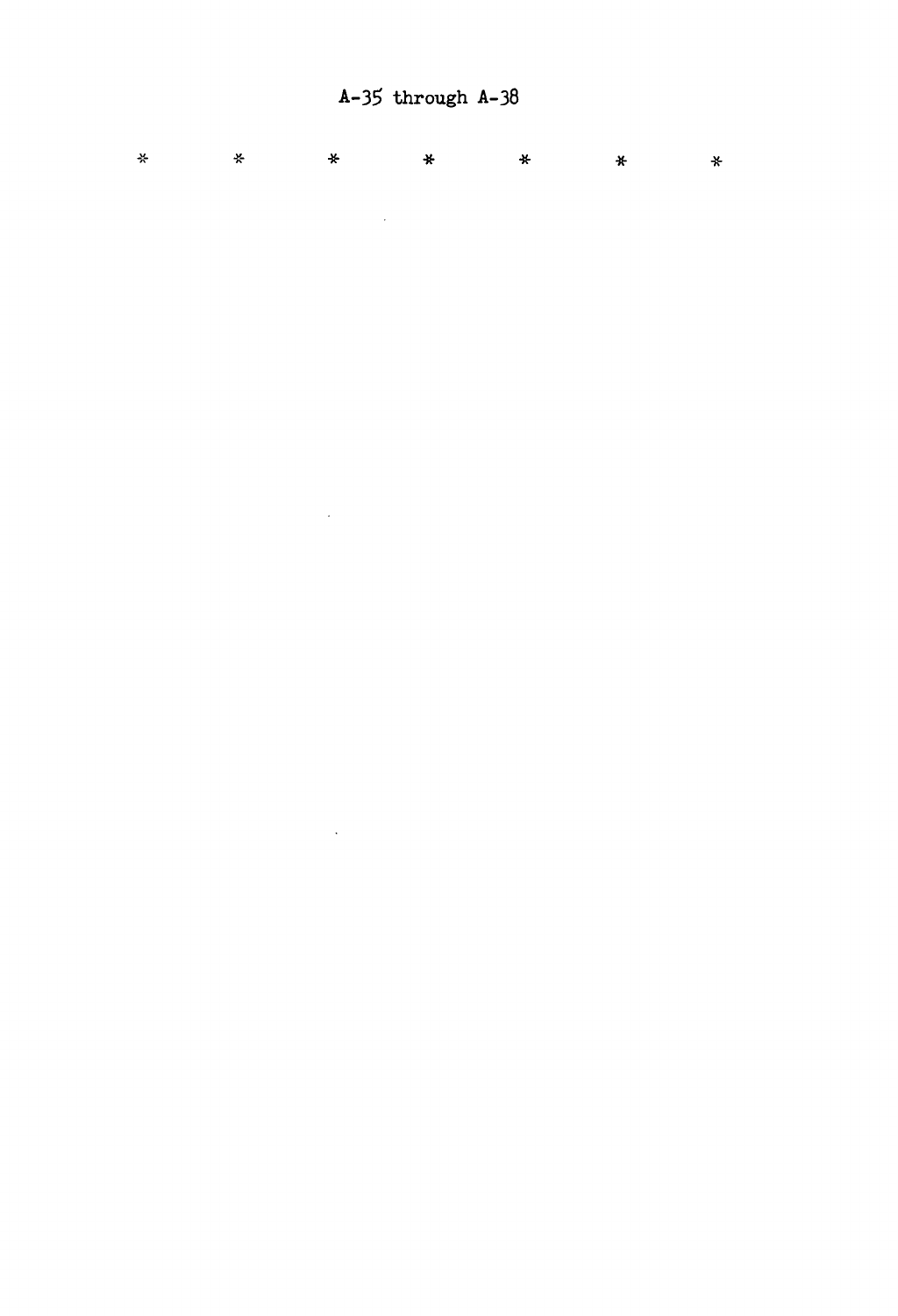$\frac{1}{2}$  $\star$  $*$   $*$  $*$   $*$  $\star$ 

 $\mathcal{L}^{\text{max}}_{\text{max}}$  ,  $\mathcal{L}^{\text{max}}_{\text{max}}$ 

 $\mathcal{L}^{\text{max}}_{\text{max}}$  , where  $\mathcal{L}^{\text{max}}_{\text{max}}$ 

 $\mathcal{L}^{\text{max}}_{\text{max}}$  , where  $\mathcal{L}^{\text{max}}_{\text{max}}$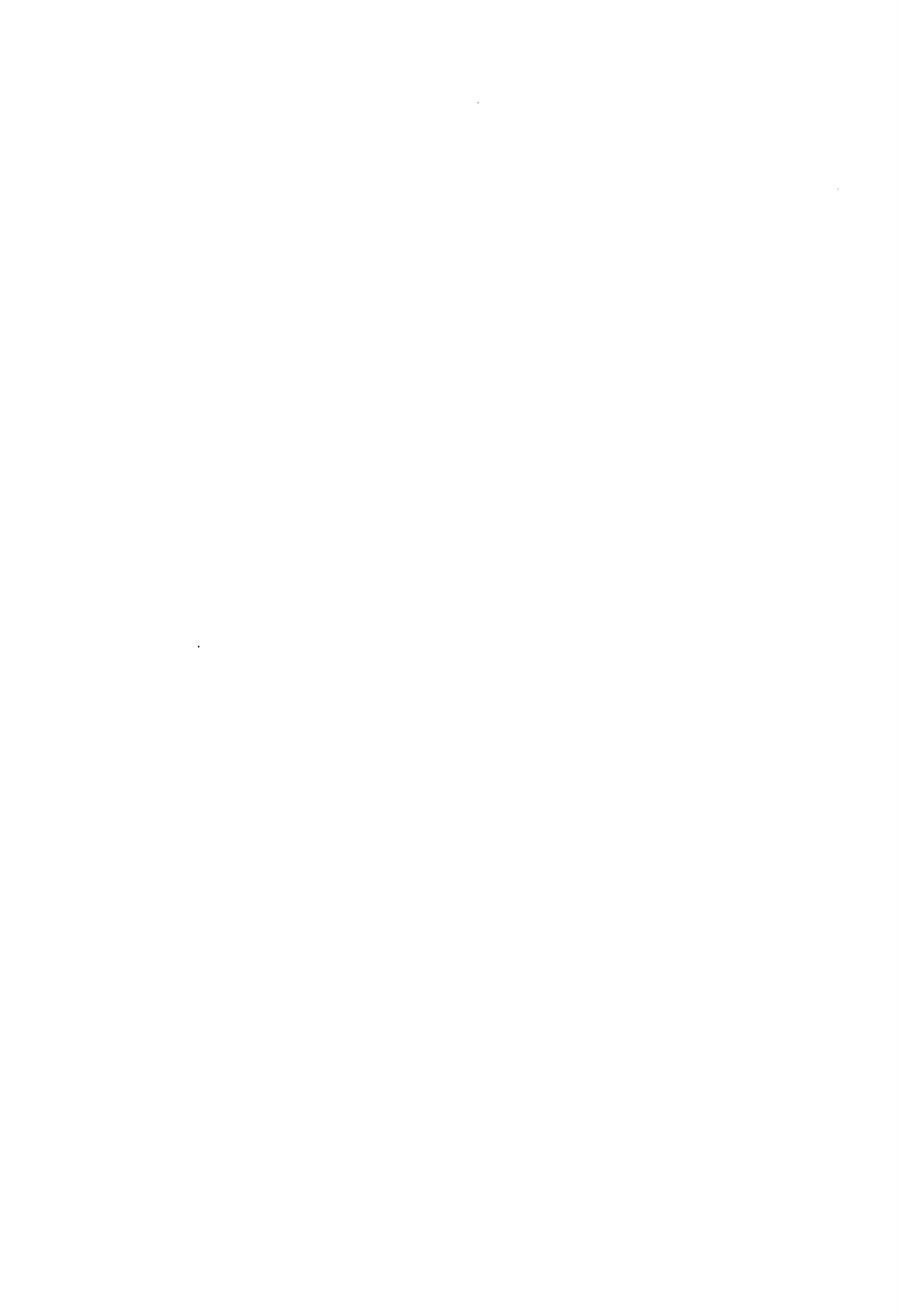$\label{eq:2.1} \mathcal{L}(\mathcal{L}^{\text{max}}_{\mathcal{L}}(\mathcal{L}^{\text{max}}_{\mathcal{L}})) \leq \mathcal{L}(\mathcal{L}^{\text{max}}_{\mathcal{L}}(\mathcal{L}^{\text{max}}_{\mathcal{L}}))$ 

 $\mathcal{L}^{\text{max}}_{\text{max}}$  and  $\mathcal{L}^{\text{max}}_{\text{max}}$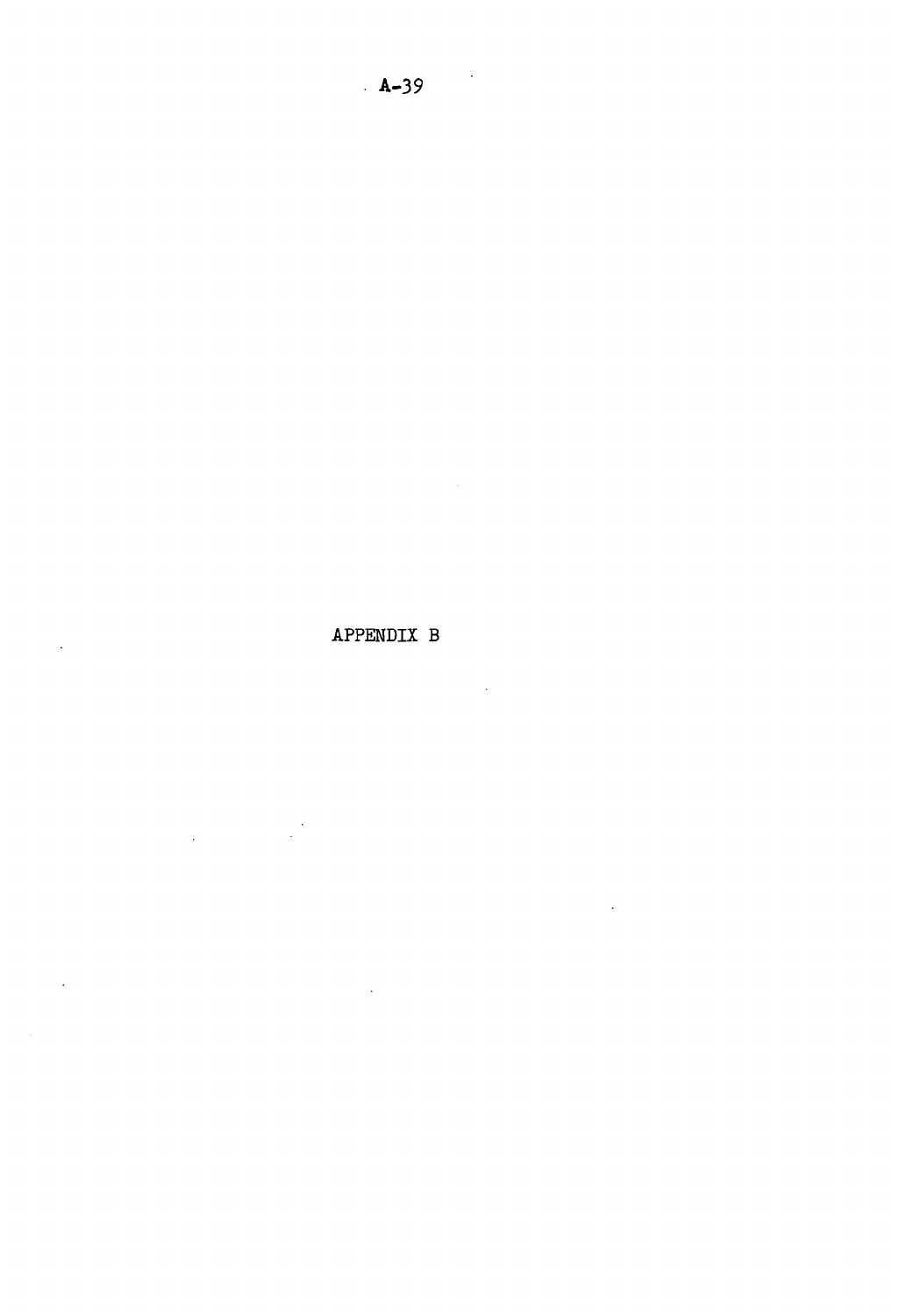## APPENDIX B

 $\mathcal{L}^{\text{max}}_{\text{max}}$ 

 $\mathcal{L}^{\text{max}}_{\text{max}}$  ,  $\mathcal{L}^{\text{max}}_{\text{max}}$ 

 $\sim 10^{11}$ 

 $\sim 10^{-11}$ 

 $\sim 10^{11}$  km  $^{-1}$ 

 $\mathcal{A}_{\mathcal{A}}$ 

 $AA-39$